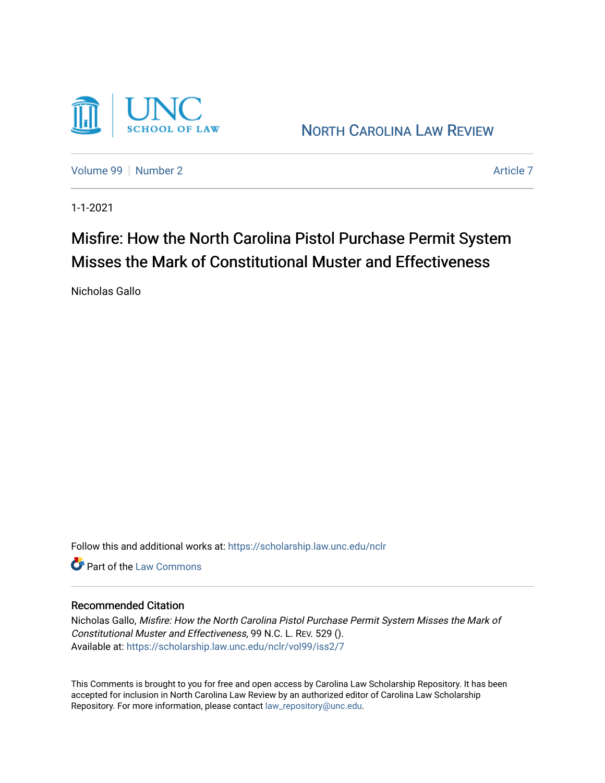

NORTH C[AROLINA](https://scholarship.law.unc.edu/nclr) LAW REVIEW

[Volume 99](https://scholarship.law.unc.edu/nclr/vol99) [Number 2](https://scholarship.law.unc.edu/nclr/vol99/iss2) [Article 7](https://scholarship.law.unc.edu/nclr/vol99/iss2/7) Article 7 Article 7

1-1-2021

# Misfire: How the North Carolina Pistol Purchase Permit System Misses the Mark of Constitutional Muster and Effectiveness

Nicholas Gallo

Follow this and additional works at: [https://scholarship.law.unc.edu/nclr](https://scholarship.law.unc.edu/nclr?utm_source=scholarship.law.unc.edu%2Fnclr%2Fvol99%2Fiss2%2F7&utm_medium=PDF&utm_campaign=PDFCoverPages) 

**C** Part of the [Law Commons](http://network.bepress.com/hgg/discipline/578?utm_source=scholarship.law.unc.edu%2Fnclr%2Fvol99%2Fiss2%2F7&utm_medium=PDF&utm_campaign=PDFCoverPages)

## Recommended Citation

Nicholas Gallo, Misfire: How the North Carolina Pistol Purchase Permit System Misses the Mark of Constitutional Muster and Effectiveness, 99 N.C. L. REV. 529 (). Available at: [https://scholarship.law.unc.edu/nclr/vol99/iss2/7](https://scholarship.law.unc.edu/nclr/vol99/iss2/7?utm_source=scholarship.law.unc.edu%2Fnclr%2Fvol99%2Fiss2%2F7&utm_medium=PDF&utm_campaign=PDFCoverPages) 

This Comments is brought to you for free and open access by Carolina Law Scholarship Repository. It has been accepted for inclusion in North Carolina Law Review by an authorized editor of Carolina Law Scholarship Repository. For more information, please contact [law\\_repository@unc.edu](mailto:law_repository@unc.edu).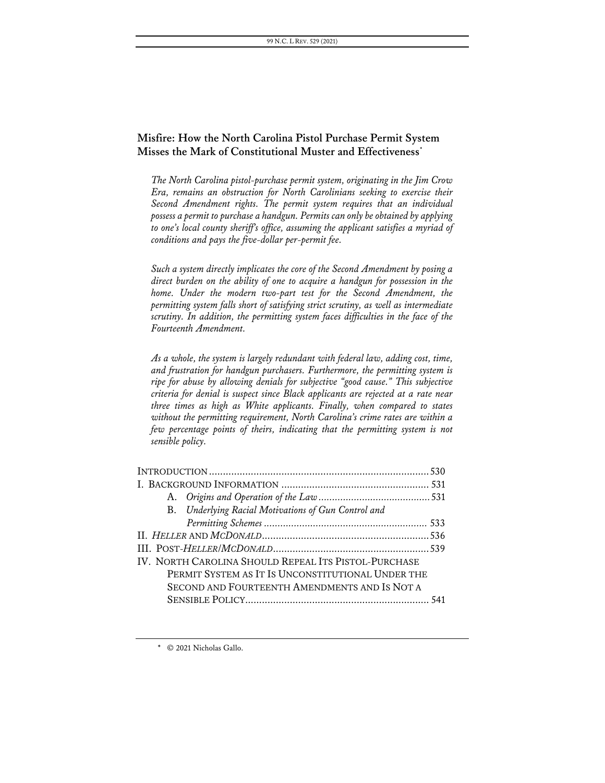# **Misfire: How the North Carolina Pistol Purchase Permit System Misses the Mark of Constitutional Muster and Effectiveness[\\*](#page-1-0)**

*The North Carolina pistol-purchase permit system, originating in the Jim Crow Era, remains an obstruction for North Carolinians seeking to exercise their Second Amendment rights. The permit system requires that an individual possess a permit to purchase a handgun. Permits can only be obtained by applying to one's local county sheriff's office, assuming the applicant satisfies a myriad of conditions and pays the five-dollar per-permit fee.*

*Such a system directly implicates the core of the Second Amendment by posing a direct burden on the ability of one to acquire a handgun for possession in the home. Under the modern two-part test for the Second Amendment, the permitting system falls short of satisfying strict scrutiny, as well as intermediate scrutiny. In addition, the permitting system faces difficulties in the face of the Fourteenth Amendment.*

*As a whole, the system is largely redundant with federal law, adding cost, time, and frustration for handgun purchasers. Furthermore, the permitting system is ripe for abuse by allowing denials for subjective "good cause." This subjective criteria for denial is suspect since Black applicants are rejected at a rate near three times as high as White applicants. Finally, when compared to states without the permitting requirement, North Carolina's crime rates are within a few percentage points of theirs, indicating that the permitting system is not sensible policy.*

| B. Underlying Racial Motivations of Gun Control and  |  |
|------------------------------------------------------|--|
|                                                      |  |
|                                                      |  |
|                                                      |  |
| IV. NORTH CAROLINA SHOULD REPEAL ITS PISTOL-PURCHASE |  |
| PERMIT SYSTEM AS IT IS UNCONSTITUTIONAL UNDER THE    |  |
| SECOND AND FOURTEENTH AMENDMENTS AND IS NOT A        |  |
|                                                      |  |

<span id="page-1-0"></span>\* © 2021 Nicholas Gallo.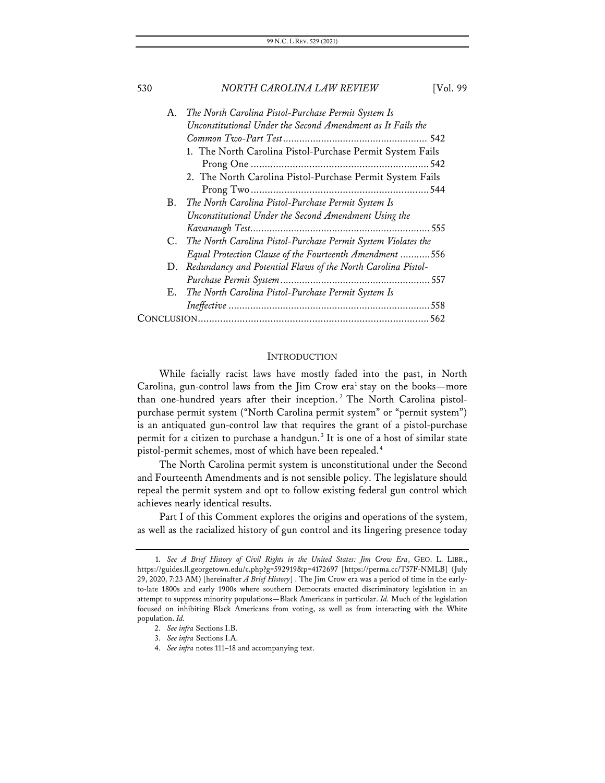| A. | The North Carolina Pistol-Purchase Permit System Is              |
|----|------------------------------------------------------------------|
|    | Unconstitutional Under the Second Amendment as It Fails the      |
|    |                                                                  |
|    | 1. The North Carolina Pistol-Purchase Permit System Fails        |
|    |                                                                  |
|    | 2. The North Carolina Pistol-Purchase Permit System Fails        |
|    |                                                                  |
| B. | The North Carolina Pistol-Purchase Permit System Is              |
|    | Unconstitutional Under the Second Amendment Using the            |
|    |                                                                  |
|    | C. The North Carolina Pistol-Purchase Permit System Violates the |
|    | Equal Protection Clause of the Fourteenth Amendment 556          |
|    | D. Redundancy and Potential Flaws of the North Carolina Pistol-  |
|    |                                                                  |
|    | E. The North Carolina Pistol-Purchase Permit System Is           |
|    |                                                                  |
|    |                                                                  |

#### **INTRODUCTION**

While facially racist laws have mostly faded into the past, in North Carolina, gun-control laws from the Jim Crow  $era<sup>1</sup>$  $era<sup>1</sup>$  $era<sup>1</sup>$  stay on the books—more than one-hundred years after their inception. [2](#page-2-1) The North Carolina pistolpurchase permit system ("North Carolina permit system" or "permit system") is an antiquated gun-control law that requires the grant of a pistol-purchase permit for a citizen to purchase a handgun.<sup>[3](#page-2-2)</sup> It is one of a host of similar state pistol-permit schemes, most of which have been repealed.<sup>[4](#page-2-3)</sup>

The North Carolina permit system is unconstitutional under the Second and Fourteenth Amendments and is not sensible policy. The legislature should repeal the permit system and opt to follow existing federal gun control which achieves nearly identical results.

Part I of this Comment explores the origins and operations of the system, as well as the racialized history of gun control and its lingering presence today

<span id="page-2-1"></span><span id="page-2-0"></span><sup>1.</sup> *See A Brief History of Civil Rights in the United States: Jim Crow Era*, GEO. L. LIBR., https://guides.ll.georgetown.edu/c.php?g=592919&p=4172697 [https://perma.cc/T57F-NMLB] (July 29, 2020, 7:23 AM) [hereinafter *A Brief History*] . The Jim Crow era was a period of time in the earlyto-late 1800s and early 1900s where southern Democrats enacted discriminatory legislation in an attempt to suppress minority populations—Black Americans in particular. *Id.* Much of the legislation focused on inhibiting Black Americans from voting, as well as from interacting with the White population. *Id.*

<span id="page-2-2"></span><sup>2.</sup> *See infra* Sections I.B.

<sup>3.</sup> *See infra* Sections I.A.

<span id="page-2-3"></span><sup>4.</sup> *See infra* notes 111–18 and accompanying text.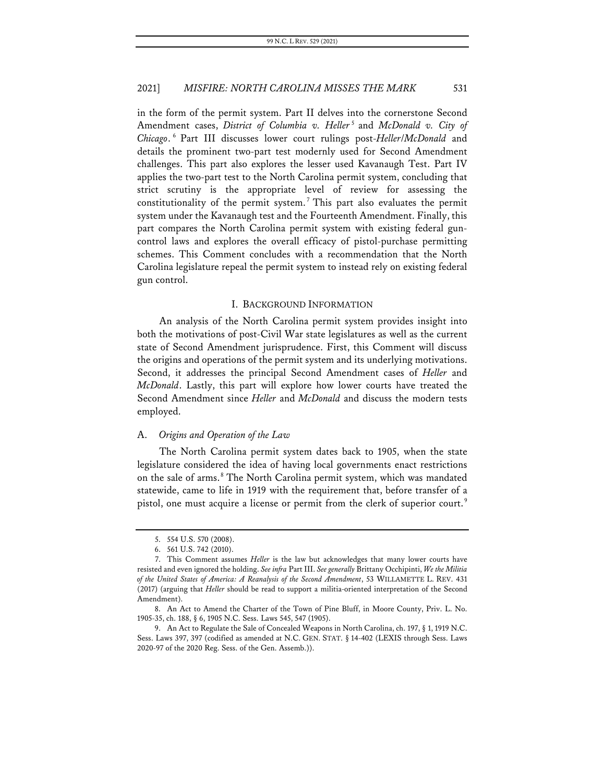in the form of the permit system. Part II delves into the cornerstone Second Amendment cases, *District of Columbia v. Heller<sup>[5](#page-3-0)</sup>* and *McDonald v. City of Chicago*. [6](#page-3-1) Part III discusses lower court rulings post-*Heller*/*McDonald* and details the prominent two-part test modernly used for Second Amendment challenges. This part also explores the lesser used Kavanaugh Test. Part IV applies the two-part test to the North Carolina permit system, concluding that strict scrutiny is the appropriate level of review for assessing the constitutionality of the permit system.<sup>[7](#page-3-2)</sup> This part also evaluates the permit system under the Kavanaugh test and the Fourteenth Amendment. Finally, this part compares the North Carolina permit system with existing federal guncontrol laws and explores the overall efficacy of pistol-purchase permitting schemes. This Comment concludes with a recommendation that the North Carolina legislature repeal the permit system to instead rely on existing federal gun control.

#### I. BACKGROUND INFORMATION

An analysis of the North Carolina permit system provides insight into both the motivations of post-Civil War state legislatures as well as the current state of Second Amendment jurisprudence. First, this Comment will discuss the origins and operations of the permit system and its underlying motivations. Second, it addresses the principal Second Amendment cases of *Heller* and *McDonald*. Lastly, this part will explore how lower courts have treated the Second Amendment since *Heller* and *McDonald* and discuss the modern tests employed.

#### A. *Origins and Operation of the Law*

The North Carolina permit system dates back to 1905, when the state legislature considered the idea of having local governments enact restrictions on the sale of arms.<sup>[8](#page-3-3)</sup> The North Carolina permit system, which was mandated statewide, came to life in 1919 with the requirement that, before transfer of a pistol, one must acquire a license or permit from the clerk of superior court.<sup>[9](#page-3-4)</sup>

<sup>5.</sup> 554 U.S. 570 (2008).

<sup>6.</sup> 561 U.S. 742 (2010).

<span id="page-3-2"></span><span id="page-3-1"></span><span id="page-3-0"></span><sup>7.</sup> This Comment assumes *Heller* is the law but acknowledges that many lower courts have resisted and even ignored the holding. *See infra* Part III. *See generally* Brittany Occhipinti, *We the Militia of the United States of America: A Reanalysis of the Second Amendment*, 53 WILLAMETTE L. REV. 431 (2017) (arguing that *Heller* should be read to support a militia-oriented interpretation of the Second Amendment).

<span id="page-3-3"></span><sup>8.</sup> An Act to Amend the Charter of the Town of Pine Bluff, in Moore County, Priv. L. No. 1905-35, ch. 188, § 6, 1905 N.C. Sess. Laws 545, 547 (1905).

<span id="page-3-4"></span><sup>9.</sup> An Act to Regulate the Sale of Concealed Weapons in North Carolina, ch. 197, § 1, 1919 N.C. Sess. Laws 397, 397 (codified as amended at N.C. GEN. STAT. § 14-402 (LEXIS through Sess. Laws 2020-97 of the 2020 Reg. Sess. of the Gen. Assemb.)).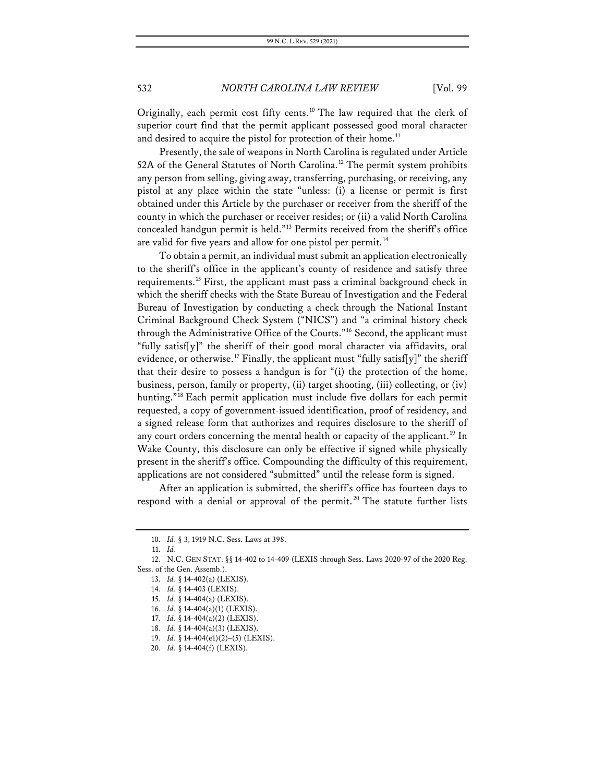Originally, each permit cost fifty cents.<sup>[10](#page-4-0)</sup> The law required that the clerk of superior court find that the permit applicant possessed good moral character and desired to acquire the pistol for protection of their home.<sup>[11](#page-4-1)</sup>

Presently, the sale of weapons in North Carolina is regulated under Article 52A of the General Statutes of North Carolina. [12](#page-4-2) The permit system prohibits any person from selling, giving away, transferring, purchasing, or receiving, any pistol at any place within the state "unless: (i) a license or permit is first obtained under this Article by the purchaser or receiver from the sheriff of the county in which the purchaser or receiver resides; or (ii) a valid North Carolina concealed handgun permit is held."[13](#page-4-3) Permits received from the sheriff's office are valid for five years and allow for one pistol per permit.<sup>[14](#page-4-4)</sup>

To obtain a permit, an individual must submit an application electronically to the sheriff's office in the applicant's county of residence and satisfy three requirements.<sup>[15](#page-4-5)</sup> First, the applicant must pass a criminal background check in which the sheriff checks with the State Bureau of Investigation and the Federal Bureau of Investigation by conducting a check through the National Instant Criminal Background Check System ("NICS") and "a criminal history check through the Administrative Office of the Courts."[16](#page-4-6) Second, the applicant must "fully satisf[y]" the sheriff of their good moral character via affidavits, oral evidence, or otherwise.<sup>[17](#page-4-7)</sup> Finally, the applicant must "fully satisf[y]" the sheriff that their desire to possess a handgun is for "(i) the protection of the home, business, person, family or property, (ii) target shooting, (iii) collecting, or (iv) hunting."<sup>[18](#page-4-8)</sup> Each permit application must include five dollars for each permit requested, a copy of government-issued identification, proof of residency, and a signed release form that authorizes and requires disclosure to the sheriff of any court orders concerning the mental health or capacity of the applicant.<sup>[19](#page-4-9)</sup> In Wake County, this disclosure can only be effective if signed while physically present in the sheriff's office. Compounding the difficulty of this requirement, applications are not considered "submitted" until the release form is signed.

After an application is submitted, the sheriff's office has fourteen days to respond with a denial or approval of the permit.<sup>[20](#page-4-10)</sup> The statute further lists

<sup>10.</sup> *Id.* § 3, 1919 N.C. Sess. Laws at 398.

<sup>11.</sup> *Id.*

<span id="page-4-7"></span><span id="page-4-6"></span><span id="page-4-5"></span><span id="page-4-4"></span><span id="page-4-3"></span><span id="page-4-2"></span><span id="page-4-1"></span><span id="page-4-0"></span><sup>12.</sup> N.C. GEN STAT. §§ 14-402 to 14-409 (LEXIS through Sess. Laws 2020-97 of the 2020 Reg. Sess. of the Gen. Assemb.).

<sup>13.</sup> *Id.* § 14-402(a) (LEXIS).

<sup>14.</sup> *Id.* § 14-403 (LEXIS).

<sup>15.</sup> *Id.* § 14-404(a) (LEXIS).

<sup>16.</sup> *Id.* § 14-404(a)(1) (LEXIS).

<sup>17.</sup> *Id.* § 14-404(a)(2) (LEXIS).

<sup>18.</sup> *Id.* § 14-404(a)(3) (LEXIS).

<span id="page-4-8"></span><sup>19.</sup> *Id.* § 14-404(e1)(2)–(5) (LEXIS).

<span id="page-4-10"></span><span id="page-4-9"></span><sup>20.</sup> *Id.* § 14-404(f) (LEXIS).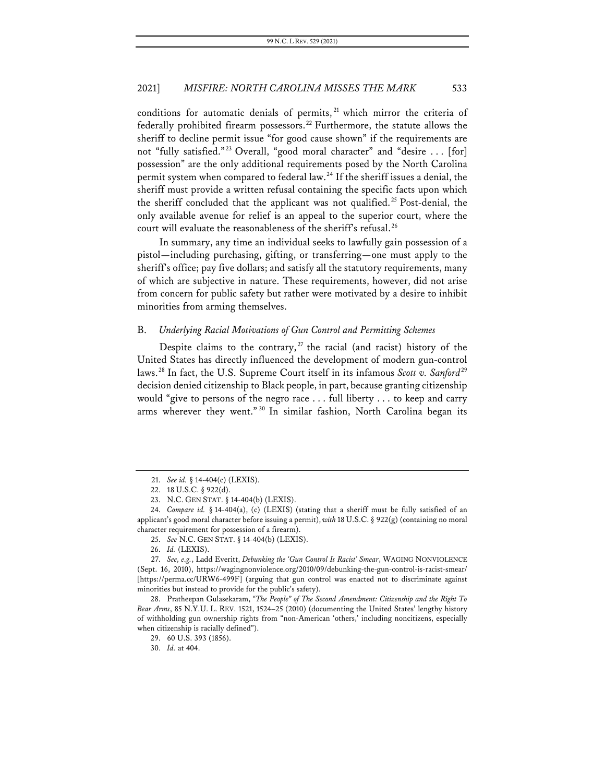conditions for automatic denials of permits,  $21$  which mirror the criteria of federally prohibited firearm possessors.<sup>[22](#page-5-1)</sup> Furthermore, the statute allows the sheriff to decline permit issue "for good cause shown" if the requirements are not "fully satisfied."<sup>[23](#page-5-2)</sup> Overall, "good moral character" and "desire . . . [for] possession" are the only additional requirements posed by the North Carolina permit system when compared to federal law.[24](#page-5-3) If the sheriff issues a denial, the sheriff must provide a written refusal containing the specific facts upon which the sheriff concluded that the applicant was not qualified.<sup>[25](#page-5-4)</sup> Post-denial, the only available avenue for relief is an appeal to the superior court, where the court will evaluate the reasonableness of the sheriff's refusal.<sup>[26](#page-5-5)</sup>

In summary, any time an individual seeks to lawfully gain possession of a pistol—including purchasing, gifting, or transferring—one must apply to the sheriff's office; pay five dollars; and satisfy all the statutory requirements, many of which are subjective in nature. These requirements, however, did not arise from concern for public safety but rather were motivated by a desire to inhibit minorities from arming themselves.

#### B. *Underlying Racial Motivations of Gun Control and Permitting Schemes*

Despite claims to the contrary,<sup>[27](#page-5-6)</sup> the racial (and racist) history of the United States has directly influenced the development of modern gun-control laws.<sup>[28](#page-5-7)</sup> In fact, the U.S. Supreme Court itself in its infamous *Scott v. Sanford*<sup>[29](#page-5-8)</sup> decision denied citizenship to Black people, in part, because granting citizenship would "give to persons of the negro race . . . full liberty . . . to keep and carry arms wherever they went."<sup>[30](#page-5-9)</sup> In similar fashion, North Carolina began its

25. *See* N.C. GEN STAT. § 14-404(b) (LEXIS).

<sup>21.</sup> *See id.* § 14-404(c) (LEXIS).

<sup>22.</sup> 18 U.S.C. § 922(d).

<sup>23.</sup> N.C. GEN STAT. § 14-404(b) (LEXIS).

<span id="page-5-3"></span><span id="page-5-2"></span><span id="page-5-1"></span><span id="page-5-0"></span><sup>24.</sup> *Compare id.* § 14-404(a), (c) (LEXIS) (stating that a sheriff must be fully satisfied of an applicant's good moral character before issuing a permit), *with* 18 U.S.C. § 922(g) (containing no moral character requirement for possession of a firearm).

<sup>26.</sup> *Id.* (LEXIS).

<span id="page-5-6"></span><span id="page-5-5"></span><span id="page-5-4"></span><sup>27.</sup> *See, e.g.*, Ladd Everitt, *Debunking the 'Gun Control Is Racist' Smear*, WAGING NONVIOLENCE (Sept. 16, 2010), https://wagingnonviolence.org/2010/09/debunking-the-gun-control-is-racist-smear/ [https://perma.cc/URW6-499F] (arguing that gun control was enacted not to discriminate against minorities but instead to provide for the public's safety).

<span id="page-5-9"></span><span id="page-5-8"></span><span id="page-5-7"></span><sup>28.</sup> Pratheepan Gulasekaram, *"The People" of The Second Amendment: Citizenship and the Right To Bear Arms*, 85 N.Y.U. L. REV. 1521, 1524–25 (2010) (documenting the United States' lengthy history of withholding gun ownership rights from "non-American 'others,' including noncitizens, especially when citizenship is racially defined").

<sup>29.</sup> 60 U.S. 393 (1856).

<sup>30.</sup> *Id.* at 404.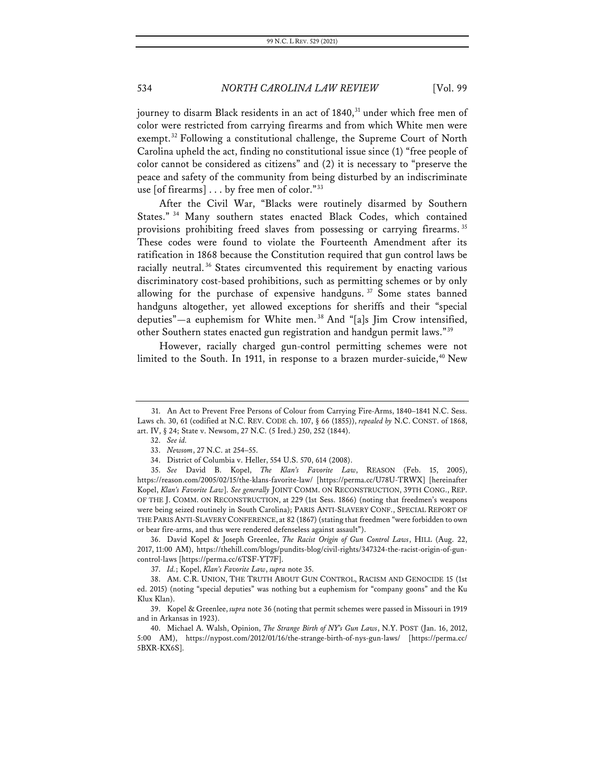journey to disarm Black residents in an act of 1840,<sup>[31](#page-6-0)</sup> under which free men of color were restricted from carrying firearms and from which White men were exempt.<sup>[32](#page-6-1)</sup> Following a constitutional challenge, the Supreme Court of North Carolina upheld the act, finding no constitutional issue since (1) "free people of color cannot be considered as citizens" and (2) it is necessary to "preserve the peace and safety of the community from being disturbed by an indiscriminate use [of firearms] . . . by free men of color."[33](#page-6-2)

After the Civil War, "Blacks were routinely disarmed by Southern States." [34](#page-6-3) Many southern states enacted Black Codes, which contained provisions prohibiting freed slaves from possessing or carrying firearms. [35](#page-6-4) These codes were found to violate the Fourteenth Amendment after its ratification in 1868 because the Constitution required that gun control laws be racially neutral. [36](#page-6-5) States circumvented this requirement by enacting various discriminatory cost-based prohibitions, such as permitting schemes or by only allowing for the purchase of expensive handguns.<sup>[37](#page-6-6)</sup> Some states banned handguns altogether, yet allowed exceptions for sheriffs and their "special deputies"—a euphemism for White men. [38](#page-6-7) And "[a]s Jim Crow intensified, other Southern states enacted gun registration and handgun permit laws."[39](#page-6-8)

However, racially charged gun-control permitting schemes were not limited to the South. In 1911, in response to a brazen murder-suicide,<sup>[40](#page-6-9)</sup> New

<span id="page-6-5"></span>36. David Kopel & Joseph Greenlee, *The Racist Origin of Gun Control Laws*, HILL (Aug. 22, 2017, 11:00 AM), https://thehill.com/blogs/pundits-blog/civil-rights/347324-the-racist-origin-of-guncontrol-laws [https://perma.cc/6TSF-YT7F].

<span id="page-6-1"></span><span id="page-6-0"></span><sup>31.</sup> An Act to Prevent Free Persons of Colour from Carrying Fire-Arms, 1840–1841 N.C. Sess. Laws ch. 30, 61 (codified at N.C. REV. CODE ch. 107, § 66 (1855)), *repealed by* N.C. CONST. of 1868, art. IV, § 24; State v. Newsom, 27 N.C. (5 Ired.) 250, 252 (1844).

<sup>32.</sup> *See id.*

<sup>33.</sup> *Newsom*, 27 N.C. at 254–55.

<sup>34.</sup> District of Columbia v. Heller, 554 U.S. 570, 614 (2008).

<span id="page-6-4"></span><span id="page-6-3"></span><span id="page-6-2"></span><sup>35.</sup> *See* David B. Kopel, *The Klan's Favorite Law*, REASON (Feb. 15, 2005), https://reason.com/2005/02/15/the-klans-favorite-law/ [https://perma.cc/U78U-TRWX] [hereinafter Kopel, *Klan's Favorite Law*]. *See generally* JOINT COMM. ON RECONSTRUCTION, 39TH CONG., REP. OF THE J. COMM. ON RECONSTRUCTION, at 229 (1st Sess. 1866) (noting that freedmen's weapons were being seized routinely in South Carolina); PARIS ANTI-SLAVERY CONF., SPECIAL REPORT OF THE PARIS ANTI-SLAVERY CONFERENCE, at 82 (1867) (stating that freedmen "were forbidden to own or bear fire-arms, and thus were rendered defenseless against assault").

<sup>37.</sup> *Id.*; Kopel, *Klan's Favorite Law*, *supra* note 35.

<span id="page-6-7"></span><span id="page-6-6"></span><sup>38.</sup> AM. C.R. UNION, THE TRUTH ABOUT GUN CONTROL, RACISM AND GENOCIDE 15 (1st ed. 2015) (noting "special deputies" was nothing but a euphemism for "company goons" and the Ku Klux Klan).

<span id="page-6-8"></span><sup>39.</sup> Kopel & Greenlee, *supra* note 36 (noting that permit schemes were passed in Missouri in 1919 and in Arkansas in 1923).

<span id="page-6-9"></span><sup>40.</sup> Michael A. Walsh, Opinion, *The Strange Birth of NY's Gun Laws*, N.Y. POST (Jan. 16, 2012, 5:00 AM), https://nypost.com/2012/01/16/the-strange-birth-of-nys-gun-laws/ [https://perma.cc/ 5BXR-KX6S].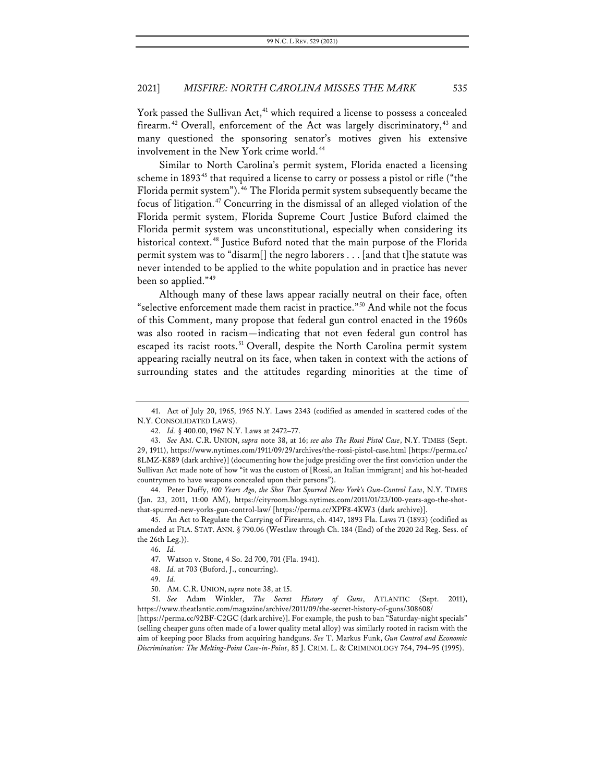York passed the Sullivan Act, [41](#page-7-0) which required a license to possess a concealed firearm.<sup>[42](#page-7-1)</sup> Overall, enforcement of the Act was largely discriminatory,<sup>[43](#page-7-2)</sup> and many questioned the sponsoring senator's motives given his extensive involvement in the New York crime world.<sup>[44](#page-7-3)</sup>

Similar to North Carolina's permit system, Florida enacted a licensing scheme in 1893<sup>[45](#page-7-4)</sup> that required a license to carry or possess a pistol or rifle ("the Florida permit system"). [46](#page-7-5) The Florida permit system subsequently became the focus of litigation.[47](#page-7-6) Concurring in the dismissal of an alleged violation of the Florida permit system, Florida Supreme Court Justice Buford claimed the Florida permit system was unconstitutional, especially when considering its historical context.<sup>[48](#page-7-7)</sup> Justice Buford noted that the main purpose of the Florida permit system was to "disarm[] the negro laborers . . . [and that t]he statute was never intended to be applied to the white population and in practice has never been so applied."[49](#page-7-8)

Although many of these laws appear racially neutral on their face, often "selective enforcement made them racist in practice."[50](#page-7-9) And while not the focus of this Comment, many propose that federal gun control enacted in the 1960s was also rooted in racism—indicating that not even federal gun control has escaped its racist roots.<sup>[51](#page-7-10)</sup> Overall, despite the North Carolina permit system appearing racially neutral on its face, when taken in context with the actions of surrounding states and the attitudes regarding minorities at the time of

49. *Id.*

<span id="page-7-0"></span><sup>41.</sup> Act of July 20, 1965, 1965 N.Y. Laws 2343 (codified as amended in scattered codes of the N.Y. CONSOLIDATED LAWS).

<sup>42.</sup> *Id.* § 400.00, 1967 N.Y. Laws at 2472–77.

<span id="page-7-2"></span><span id="page-7-1"></span><sup>43.</sup> *See* AM. C.R. UNION, *supra* note 38, at 16; *see also The Rossi Pistol Case*, N.Y. TIMES (Sept. 29, 1911), https://www.nytimes.com/1911/09/29/archives/the-rossi-pistol-case.html [https://perma.cc/ 8LMZ-K889 (dark archive)] (documenting how the judge presiding over the first conviction under the Sullivan Act made note of how "it was the custom of [Rossi, an Italian immigrant] and his hot-headed countrymen to have weapons concealed upon their persons").

<span id="page-7-3"></span><sup>44.</sup> Peter Duffy, *100 Years Ago, the Shot That Spurred New York's Gun-Control Law*, N.Y. TIMES (Jan. 23, 2011, 11:00 AM), https://cityroom.blogs.nytimes.com/2011/01/23/100-years-ago-the-shotthat-spurred-new-yorks-gun-control-law/ [https://perma.cc/XPF8-4KW3 (dark archive)].

<span id="page-7-6"></span><span id="page-7-5"></span><span id="page-7-4"></span><sup>45.</sup> An Act to Regulate the Carrying of Firearms, ch. 4147, 1893 Fla. Laws 71 (1893) (codified as amended at FLA. STAT. ANN. § 790.06 (Westlaw through Ch. 184 (End) of the 2020 2d Reg. Sess. of the 26th Leg.)).

<sup>46.</sup> *Id.*

<sup>47.</sup> Watson v. Stone, 4 So. 2d 700, 701 (Fla. 1941).

<sup>48.</sup> *Id.* at 703 (Buford, J., concurring).

<sup>50.</sup> AM. C.R. UNION, *supra* note 38, at 15.

<span id="page-7-10"></span><span id="page-7-9"></span><span id="page-7-8"></span><span id="page-7-7"></span><sup>51.</sup> *See* Adam Winkler, *The Secret History of Guns*, ATLANTIC (Sept. 2011), https://www.theatlantic.com/magazine/archive/2011/09/the-secret-history-of-guns/308608/

<sup>[</sup>https://perma.cc/92BF-C2GC (dark archive)]. For example, the push to ban "Saturday-night specials" (selling cheaper guns often made of a lower quality metal alloy) was similarly rooted in racism with the aim of keeping poor Blacks from acquiring handguns. *See* T. Markus Funk, *Gun Control and Economic Discrimination: The Melting-Point Case-in-Point*, 85 J. CRIM. L. & CRIMINOLOGY 764, 794–95 (1995).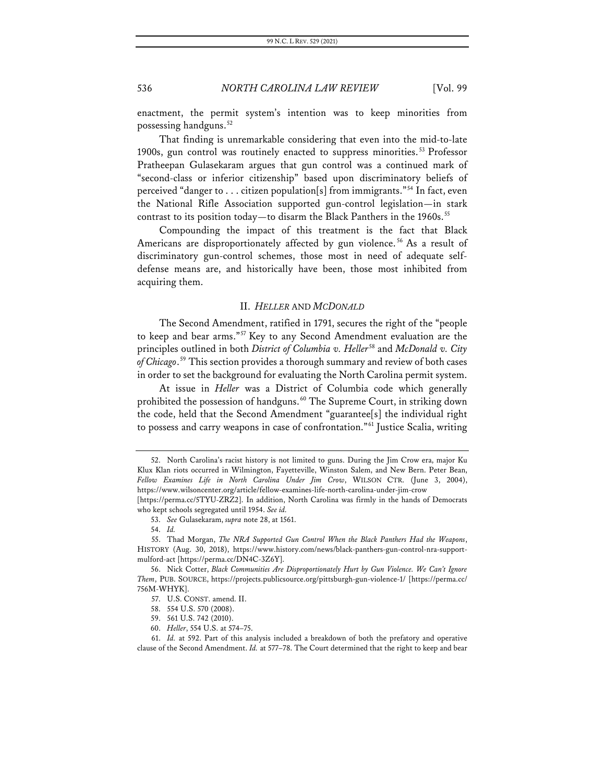enactment, the permit system's intention was to keep minorities from possessing handguns.<sup>[52](#page-8-0)</sup>

That finding is unremarkable considering that even into the mid-to-late 1900s, gun control was routinely enacted to suppress minorities.<sup>[53](#page-8-1)</sup> Professor Pratheepan Gulasekaram argues that gun control was a continued mark of "second-class or inferior citizenship" based upon discriminatory beliefs of perceived "danger to . . . citizen population[s] from immigrants."[54](#page-8-2) In fact, even the National Rifle Association supported gun-control legislation—in stark contrast to its position today—to disarm the Black Panthers in the 1960s.<sup>[55](#page-8-3)</sup>

Compounding the impact of this treatment is the fact that Black Americans are disproportionately affected by gun violence. [56](#page-8-4) As a result of discriminatory gun-control schemes, those most in need of adequate selfdefense means are, and historically have been, those most inhibited from acquiring them.

#### II. *HELLER* AND *MCDONALD*

The Second Amendment, ratified in 1791, secures the right of the "people to keep and bear arms."[57](#page-8-5) Key to any Second Amendment evaluation are the principles outlined in both *District of Columbia v. Heller*<sup>[58](#page-8-6)</sup> and *McDonald v. City of Chicago*. [59](#page-8-7) This section provides a thorough summary and review of both cases in order to set the background for evaluating the North Carolina permit system.

At issue in *Heller* was a District of Columbia code which generally prohibited the possession of handguns.<sup>[60](#page-8-8)</sup> The Supreme Court, in striking down the code, held that the Second Amendment "guarantee[s] the individual right to possess and carry weapons in case of confrontation."[61](#page-8-9) Justice Scalia, writing

54. *Id.*

<span id="page-8-0"></span><sup>52.</sup> North Carolina's racist history is not limited to guns. During the Jim Crow era, major Ku Klux Klan riots occurred in Wilmington, Fayetteville, Winston Salem, and New Bern. Peter Bean, *Fellow Examines Life in North Carolina Under Jim Crow*, WILSON CTR. (June 3, 2004), https://www.wilsoncenter.org/article/fellow-examines-life-north-carolina-under-jim-crow

<sup>[</sup>https://perma.cc/5TYU-ZRZ2]. In addition, North Carolina was firmly in the hands of Democrats who kept schools segregated until 1954. *See id.*

<sup>53.</sup> *See* Gulasekaram, *supra* note 28, at 1561.

<span id="page-8-3"></span><span id="page-8-2"></span><span id="page-8-1"></span><sup>55.</sup> Thad Morgan, *The NRA Supported Gun Control When the Black Panthers Had the Weapons*, HISTORY (Aug. 30, 2018), https://www.history.com/news/black-panthers-gun-control-nra-supportmulford-act [https://perma.cc/DN4C-3Z6Y].

<span id="page-8-5"></span><span id="page-8-4"></span><sup>56.</sup> Nick Cotter, *Black Communities Are Disproportionately Hurt by Gun Violence. We Can't Ignore Them*, PUB. SOURCE, https://projects.publicsource.org/pittsburgh-gun-violence-1/ [https://perma.cc/ 756M-WHYK].

<sup>57.</sup> U.S. CONST. amend. II.

<sup>58.</sup> 554 U.S. 570 (2008).

<sup>59.</sup> 561 U.S. 742 (2010).

<sup>60.</sup> *Heller*, 554 U.S. at 574–75.

<span id="page-8-9"></span><span id="page-8-8"></span><span id="page-8-7"></span><span id="page-8-6"></span><sup>61.</sup> *Id.* at 592. Part of this analysis included a breakdown of both the prefatory and operative clause of the Second Amendment. *Id.* at 577–78. The Court determined that the right to keep and bear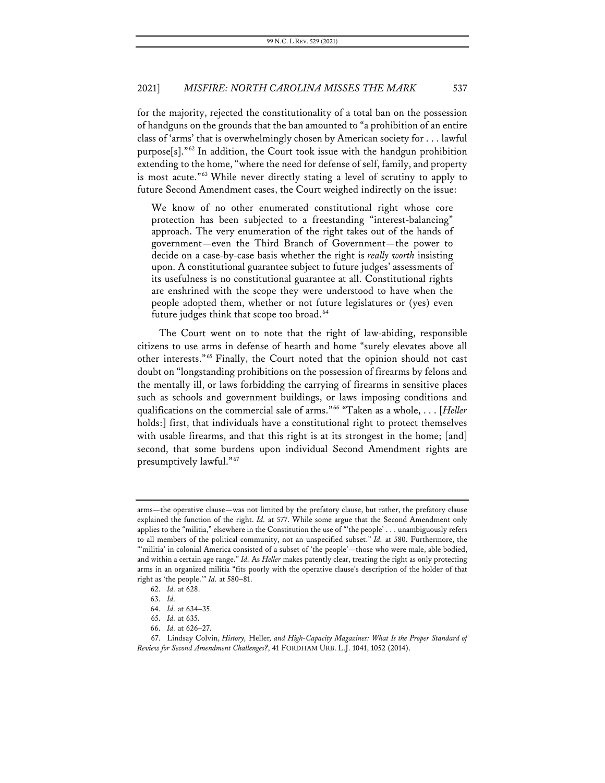for the majority, rejected the constitutionality of a total ban on the possession of handguns on the grounds that the ban amounted to "a prohibition of an entire class of 'arms' that is overwhelmingly chosen by American society for . . . lawful purpose[s]."[62](#page-9-0) In addition, the Court took issue with the handgun prohibition extending to the home, "where the need for defense of self, family, and property is most acute."[63](#page-9-1) While never directly stating a level of scrutiny to apply to future Second Amendment cases, the Court weighed indirectly on the issue:

We know of no other enumerated constitutional right whose core protection has been subjected to a freestanding "interest-balancing" approach. The very enumeration of the right takes out of the hands of government—even the Third Branch of Government—the power to decide on a case-by-case basis whether the right is *really worth* insisting upon. A constitutional guarantee subject to future judges' assessments of its usefulness is no constitutional guarantee at all. Constitutional rights are enshrined with the scope they were understood to have when the people adopted them, whether or not future legislatures or (yes) even future judges think that scope too broad.<sup>[64](#page-9-2)</sup>

The Court went on to note that the right of law-abiding, responsible citizens to use arms in defense of hearth and home "surely elevates above all other interests."[65](#page-9-3) Finally, the Court noted that the opinion should not cast doubt on "longstanding prohibitions on the possession of firearms by felons and the mentally ill, or laws forbidding the carrying of firearms in sensitive places such as schools and government buildings, or laws imposing conditions and qualifications on the commercial sale of arms."[66](#page-9-4) "Taken as a whole, . . . [*Heller* holds:] first, that individuals have a constitutional right to protect themselves with usable firearms, and that this right is at its strongest in the home; [and] second, that some burdens upon individual Second Amendment rights are presumptively lawful."[67](#page-9-5)

arms—the operative clause—was not limited by the prefatory clause, but rather, the prefatory clause explained the function of the right. *Id.* at 577. While some argue that the Second Amendment only applies to the "militia," elsewhere in the Constitution the use of "'the people' . . . unambiguously refers to all members of the political community, not an unspecified subset." *Id.* at 580. Furthermore, the "'militia' in colonial America consisted of a subset of 'the people'—those who were male, able bodied, and within a certain age range." *Id.* As *Heller* makes patently clear, treating the right as only protecting arms in an organized militia "fits poorly with the operative clause's description of the holder of that right as 'the people.'" *Id.* at 580–81.

<sup>62.</sup> *Id.* at 628.

<sup>63.</sup> *Id.*

<sup>64.</sup> *Id.* at 634–35.

<sup>65.</sup> *Id.* at 635.

<sup>66.</sup> *Id.* at 626–27.

<span id="page-9-5"></span><span id="page-9-4"></span><span id="page-9-3"></span><span id="page-9-2"></span><span id="page-9-1"></span><span id="page-9-0"></span><sup>67.</sup> Lindsay Colvin, *History,* Heller*, and High-Capacity Magazines: What Is the Proper Standard of Review for Second Amendment Challenges?*, 41 FORDHAM URB. L.J. 1041, 1052 (2014).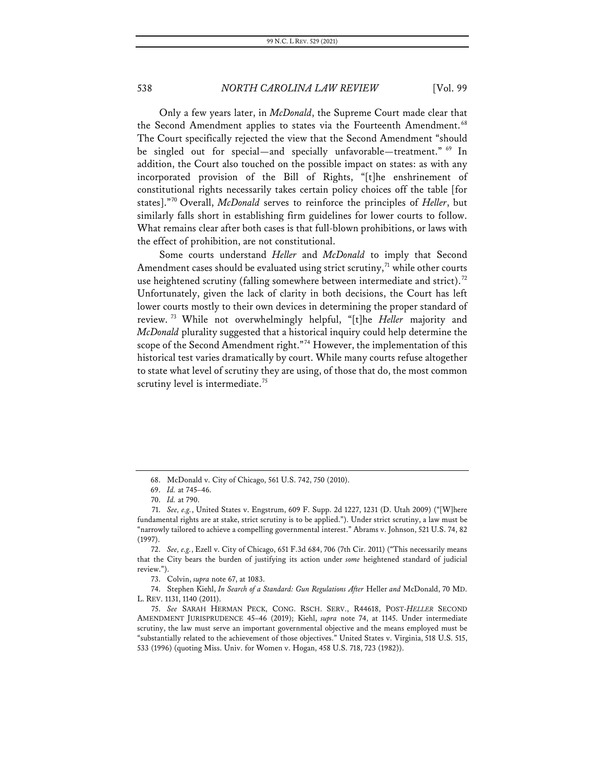Only a few years later, in *McDonald*, the Supreme Court made clear that the Second Amendment applies to states via the Fourteenth Amendment.<sup>[68](#page-10-0)</sup> The Court specifically rejected the view that the Second Amendment "should be singled out for special—and specially unfavorable—treatment." <sup>[69](#page-10-1)</sup> In addition, the Court also touched on the possible impact on states: as with any incorporated provision of the Bill of Rights, "[t]he enshrinement of constitutional rights necessarily takes certain policy choices off the table [for states]."[70](#page-10-2) Overall, *McDonald* serves to reinforce the principles of *Heller*, but similarly falls short in establishing firm guidelines for lower courts to follow. What remains clear after both cases is that full-blown prohibitions, or laws with the effect of prohibition, are not constitutional.

Some courts understand *Heller* and *McDonald* to imply that Second Amendment cases should be evaluated using strict scrutiny, $\frac{1}{1}$  while other courts use heightened scrutiny (falling somewhere between intermediate and strict).<sup>[72](#page-10-4)</sup> Unfortunately, given the lack of clarity in both decisions, the Court has left lower courts mostly to their own devices in determining the proper standard of review. [73](#page-10-5) While not overwhelmingly helpful, "[t]he *Heller* majority and *McDonald* plurality suggested that a historical inquiry could help determine the scope of the Second Amendment right."<sup>[74](#page-10-6)</sup> However, the implementation of this historical test varies dramatically by court. While many courts refuse altogether to state what level of scrutiny they are using, of those that do, the most common scrutiny level is intermediate.<sup>[75](#page-10-7)</sup>

73. Colvin, *supra* note 67, at 1083.

<span id="page-10-6"></span><span id="page-10-5"></span>74. Stephen Kiehl, *In Search of a Standard: Gun Regulations After* Heller *and* McDonald, 70 MD. L. REV. 1131, 1140 (2011).

<span id="page-10-7"></span>75. *See* SARAH HERMAN PECK, CONG. RSCH. SERV., R44618, POST-*HELLER* SECOND AMENDMENT JURISPRUDENCE 45–46 (2019); Kiehl, *supra* note 74, at 1145. Under intermediate scrutiny, the law must serve an important governmental objective and the means employed must be "substantially related to the achievement of those objectives." United States v. Virginia, 518 U.S. 515, 533 (1996) (quoting Miss. Univ. for Women v. Hogan, 458 U.S. 718, 723 (1982)).

<sup>68.</sup> McDonald v. City of Chicago, 561 U.S. 742, 750 (2010).

<sup>69.</sup> *Id.* at 745–46.

<sup>70.</sup> *Id.* at 790.

<span id="page-10-3"></span><span id="page-10-2"></span><span id="page-10-1"></span><span id="page-10-0"></span><sup>71.</sup> *See, e.g.*, United States v. Engstrum, 609 F. Supp. 2d 1227, 1231 (D. Utah 2009) ("[W]here fundamental rights are at stake, strict scrutiny is to be applied."). Under strict scrutiny, a law must be "narrowly tailored to achieve a compelling governmental interest." Abrams v. Johnson, 521 U.S. 74, 82 (1997).

<span id="page-10-4"></span><sup>72.</sup> *See, e.g.*, Ezell v. City of Chicago, 651 F.3d 684, 706 (7th Cir. 2011) ("This necessarily means that the City bears the burden of justifying its action under *some* heightened standard of judicial review.").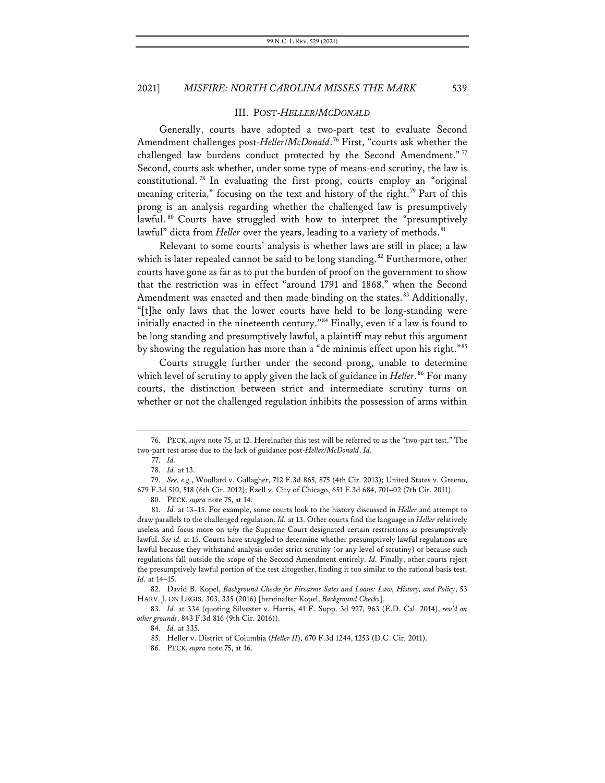#### III. POST-*HELLER*/*MCDONALD*

Generally, courts have adopted a two-part test to evaluate Second Amendment challenges post-*Heller*/*McDonald*. [76](#page-11-0) First, "courts ask whether the challenged law burdens conduct protected by the Second Amendment."<sup>[77](#page-11-1)</sup> Second, courts ask whether, under some type of means-end scrutiny, the law is constitutional. [78](#page-11-2) In evaluating the first prong, courts employ an "original meaning criteria," focusing on the text and history of the right.<sup>[79](#page-11-3)</sup> Part of this prong is an analysis regarding whether the challenged law is presumptively lawful.<sup>[80](#page-11-4)</sup> Courts have struggled with how to interpret the "presumptively lawful" dicta from *Heller* over the years, leading to a variety of methods.<sup>[81](#page-11-5)</sup>

Relevant to some courts' analysis is whether laws are still in place; a law which is later repealed cannot be said to be long standing.<sup>[82](#page-11-6)</sup> Furthermore, other courts have gone as far as to put the burden of proof on the government to show that the restriction was in effect "around 1791 and 1868," when the Second Amendment was enacted and then made binding on the states.<sup>[83](#page-11-7)</sup> Additionally, "[t]he only laws that the lower courts have held to be long-standing were initially enacted in the nineteenth century."[84](#page-11-8) Finally, even if a law is found to be long standing and presumptively lawful, a plaintiff may rebut this argument by showing the regulation has more than a "de minimis effect upon his right."[85](#page-11-9)

Courts struggle further under the second prong, unable to determine which level of scrutiny to apply given the lack of guidance in *Heller*. [86](#page-11-10) For many courts, the distinction between strict and intermediate scrutiny turns on whether or not the challenged regulation inhibits the possession of arms within

<span id="page-11-1"></span><span id="page-11-0"></span><sup>76.</sup> PECK, *supra* note 75, at 12. Hereinafter this test will be referred to as the "two-part test." The two-part test arose due to the lack of guidance post-*Heller*/*McDonald*. *Id.*

<sup>77.</sup> *Id.*

<sup>78.</sup> *Id.* at 13.

<span id="page-11-3"></span><span id="page-11-2"></span><sup>79.</sup> *See, e.g.*, Woollard v. Gallagher, 712 F.3d 865, 875 (4th Cir. 2013); United States v. Greeno, 679 F.3d 510, 518 (6th Cir. 2012); Ezell v. City of Chicago, 651 F.3d 684, 701–02 (7th Cir. 2011).

<sup>80.</sup> PECK, *supra* note 75, at 14.

<span id="page-11-5"></span><span id="page-11-4"></span><sup>81.</sup> *Id.* at 13–15. For example, some courts look to the history discussed in *Heller* and attempt to draw parallels to the challenged regulation. *Id.* at 13. Other courts find the language in *Heller* relatively useless and focus more on *why* the Supreme Court designated certain restrictions as presumptively lawful. *See id.* at 15. Courts have struggled to determine whether presumptively lawful regulations are lawful because they withstand analysis under strict scrutiny (or any level of scrutiny) or because such regulations fall outside the scope of the Second Amendment entirely. *Id.* Finally, other courts reject the presumptively lawful portion of the test altogether, finding it too similar to the rational basis test. *Id.* at 14–15.

<span id="page-11-6"></span><sup>82.</sup> David B. Kopel, *Background Checks for Firearms Sales and Loans: Law, History, and Policy*, 53 HARV. J. ON LEGIS. 303, 335 (2016) [hereinafter Kopel, *Background Checks*].

<span id="page-11-10"></span><span id="page-11-9"></span><span id="page-11-8"></span><span id="page-11-7"></span><sup>83.</sup> *Id.* at 334 (quoting Silvester v. Harris, 41 F. Supp. 3d 927, 963 (E.D. Cal. 2014), *rev'd on other grounds*, 843 F.3d 816 (9th Cir. 2016)).

<sup>84.</sup> *Id.* at 335.

<sup>85.</sup> Heller v. District of Columbia (*Heller II*), 670 F.3d 1244, 1253 (D.C. Cir. 2011).

<sup>86.</sup> PECK, *supra* note 75, at 16.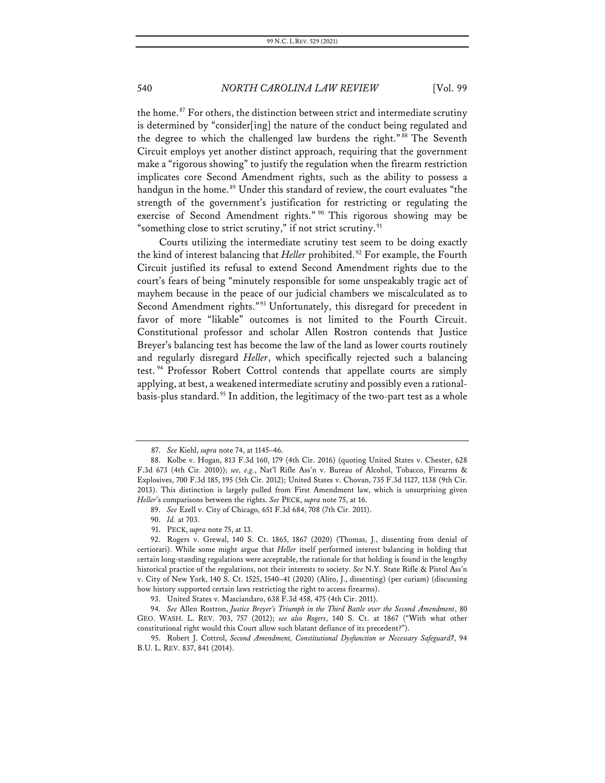the home.<sup>[87](#page-12-0)</sup> For others, the distinction between strict and intermediate scrutiny is determined by "consider[ing] the nature of the conduct being regulated and the degree to which the challenged law burdens the right." [88](#page-12-1) The Seventh Circuit employs yet another distinct approach, requiring that the government make a "rigorous showing" to justify the regulation when the firearm restriction implicates core Second Amendment rights, such as the ability to possess a handgun in the home.<sup>[89](#page-12-2)</sup> Under this standard of review, the court evaluates "the strength of the government's justification for restricting or regulating the exercise of Second Amendment rights." <sup>[90](#page-12-3)</sup> This rigorous showing may be "something close to strict scrutiny," if not strict scrutiny.<sup>[91](#page-12-4)</sup>

Courts utilizing the intermediate scrutiny test seem to be doing exactly the kind of interest balancing that *Heller* prohibited.<sup>[92](#page-12-5)</sup> For example, the Fourth Circuit justified its refusal to extend Second Amendment rights due to the court's fears of being "minutely responsible for some unspeakably tragic act of mayhem because in the peace of our judicial chambers we miscalculated as to Second Amendment rights."<sup>[93](#page-12-6)</sup> Unfortunately, this disregard for precedent in favor of more "likable" outcomes is not limited to the Fourth Circuit. Constitutional professor and scholar Allen Rostron contends that Justice Breyer's balancing test has become the law of the land as lower courts routinely and regularly disregard *Heller*, which specifically rejected such a balancing test.<sup>[94](#page-12-7)</sup> Professor Robert Cottrol contends that appellate courts are simply applying, at best, a weakened intermediate scrutiny and possibly even a rational-basis-plus standard.<sup>[95](#page-12-8)</sup> In addition, the legitimacy of the two-part test as a whole

<sup>87.</sup> *See* Kiehl, *supra* note 74, at 1145–46.

<span id="page-12-1"></span><span id="page-12-0"></span><sup>88.</sup> Kolbe v. Hogan, 813 F.3d 160, 179 (4th Cir. 2016) (quoting United States v. Chester, 628 F.3d 673 (4th Cir. 2010)); *see, e.g.*, Nat'l Rifle Ass'n v. Bureau of Alcohol, Tobacco, Firearms & Explosives, 700 F.3d 185, 195 (5th Cir. 2012); United States v. Chovan, 735 F.3d 1127, 1138 (9th Cir. 2013). This distinction is largely pulled from First Amendment law, which is unsurprising given *Heller*'s comparisons between the rights. *See* PECK, *supra* note 75, at 16.

<sup>89.</sup> *See* Ezell v. City of Chicago, 651 F.3d 684, 708 (7th Cir. 2011).

<sup>90.</sup> *Id.* at 703.

<sup>91.</sup> PECK, *supra* note 75, at 13.

<span id="page-12-5"></span><span id="page-12-4"></span><span id="page-12-3"></span><span id="page-12-2"></span><sup>92.</sup> Rogers v. Grewal, 140 S. Ct. 1865, 1867 (2020) (Thomas, J., dissenting from denial of certiorari). While some might argue that *Heller* itself performed interest balancing in holding that certain long-standing regulations were acceptable, the rationale for that holding is found in the lengthy historical practice of the regulations, not their interests to society. *See* N.Y. State Rifle & Pistol Ass'n v. City of New York, 140 S. Ct. 1525, 1540–41 (2020) (Alito, J., dissenting) (per curiam) (discussing how history supported certain laws restricting the right to access firearms).

<sup>93.</sup> United States v. Masciandaro, 638 F.3d 458, 475 (4th Cir. 2011).

<span id="page-12-7"></span><span id="page-12-6"></span><sup>94.</sup> *See* Allen Rostron, *Justice Breyer's Triumph in the Third Battle over the Second Amendment*, 80 GEO. WASH. L. REV. 703, 757 (2012); *see also Rogers*, 140 S. Ct. at 1867 ("With what other constitutional right would this Court allow such blatant defiance of its precedent?").

<span id="page-12-8"></span><sup>95.</sup> Robert J. Cottrol, *Second Amendment, Constitutional Dysfunction or Necessary Safeguard?*, 94 B.U. L. REV. 837, 841 (2014).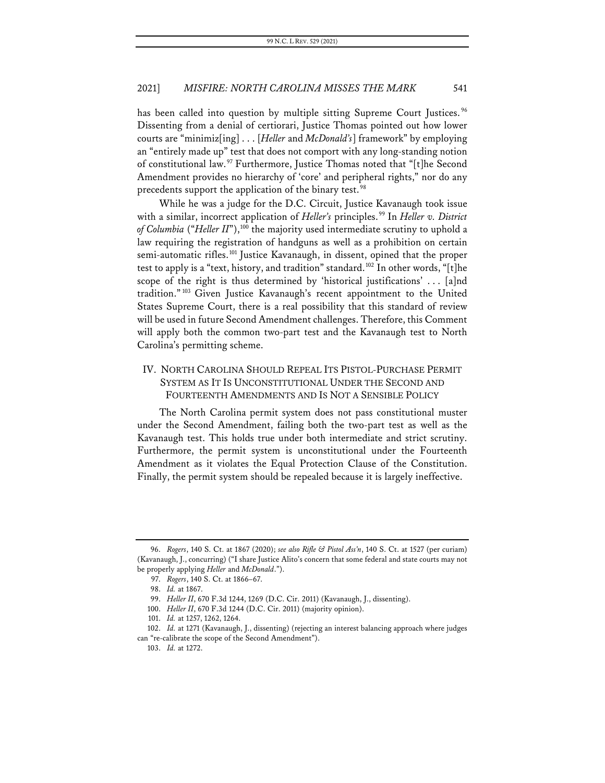has been called into question by multiple sitting Supreme Court Justices.<sup>[96](#page-13-0)</sup> Dissenting from a denial of certiorari, Justice Thomas pointed out how lower courts are "minimiz[ing] . . . [*Heller* and *McDonald's*] framework" by employing an "entirely made up" test that does not comport with any long-standing notion of constitutional law.<sup>[97](#page-13-1)</sup> Furthermore, Justice Thomas noted that "[t]he Second Amendment provides no hierarchy of 'core' and peripheral rights," nor do any precedents support the application of the binary test.<sup>[98](#page-13-2)</sup>

While he was a judge for the D.C. Circuit, Justice Kavanaugh took issue with a similar, incorrect application of *Heller's* principles.<sup>[99](#page-13-3)</sup> In *Heller v. District of Columbia* ("*Heller II*"), [100](#page-13-4) the majority used intermediate scrutiny to uphold a law requiring the registration of handguns as well as a prohibition on certain semi-automatic rifles.<sup>[101](#page-13-5)</sup> Justice Kavanaugh, in dissent, opined that the proper test to apply is a "text, history, and tradition" standard.<sup>[102](#page-13-6)</sup> In other words, "[t]he scope of the right is thus determined by 'historical justifications' ... [a]nd tradition."[103](#page-13-7) Given Justice Kavanaugh's recent appointment to the United States Supreme Court, there is a real possibility that this standard of review will be used in future Second Amendment challenges. Therefore, this Comment will apply both the common two-part test and the Kavanaugh test to North Carolina's permitting scheme.

## IV. NORTH CAROLINA SHOULD REPEAL ITS PISTOL-PURCHASE PERMIT SYSTEM AS IT IS UNCONSTITUTIONAL UNDER THE SECOND AND FOURTEENTH AMENDMENTS AND IS NOT A SENSIBLE POLICY

The North Carolina permit system does not pass constitutional muster under the Second Amendment, failing both the two-part test as well as the Kavanaugh test. This holds true under both intermediate and strict scrutiny. Furthermore, the permit system is unconstitutional under the Fourteenth Amendment as it violates the Equal Protection Clause of the Constitution. Finally, the permit system should be repealed because it is largely ineffective.

<span id="page-13-2"></span><span id="page-13-1"></span><span id="page-13-0"></span><sup>96.</sup> *Rogers*, 140 S. Ct. at 1867 (2020); *see also Rifle & Pistol Ass'n*, 140 S. Ct. at 1527 (per curiam) (Kavanaugh, J., concurring) ("I share Justice Alito's concern that some federal and state courts may not be properly applying *Heller* and *McDonald*.").

<sup>97.</sup> *Rogers*, 140 S. Ct. at 1866–67.

<sup>98.</sup> *Id.* at 1867.

<sup>99.</sup> *Heller II*, 670 F.3d 1244, 1269 (D.C. Cir. 2011) (Kavanaugh, J., dissenting).

<sup>100.</sup> *Heller II*, 670 F.3d 1244 (D.C. Cir. 2011) (majority opinion).

<sup>101.</sup> *Id.* at 1257, 1262, 1264.

<span id="page-13-7"></span><span id="page-13-6"></span><span id="page-13-5"></span><span id="page-13-4"></span><span id="page-13-3"></span><sup>102.</sup> *Id.* at 1271 (Kavanaugh, J., dissenting) (rejecting an interest balancing approach where judges can "re-calibrate the scope of the Second Amendment").

<sup>103.</sup> *Id.* at 1272.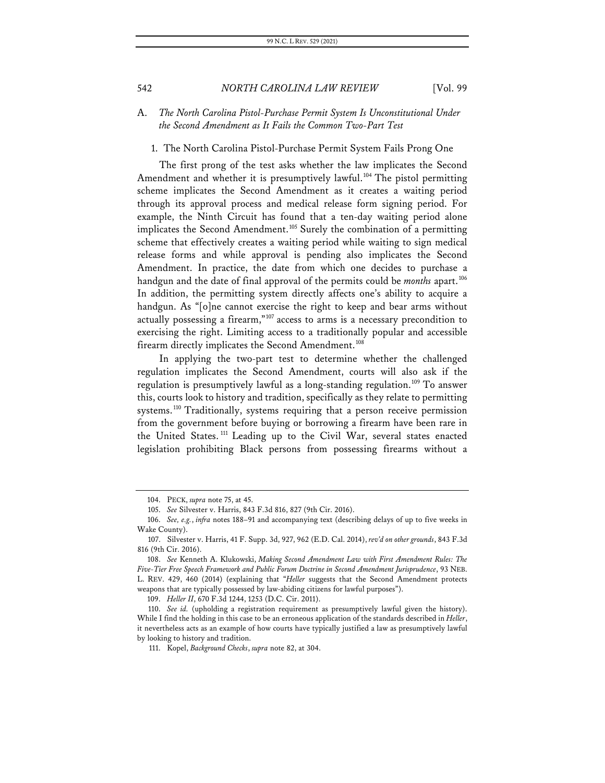## A. *The North Carolina Pistol-Purchase Permit System Is Unconstitutional Under the Second Amendment as It Fails the Common Two-Part Test*

#### 1. The North Carolina Pistol-Purchase Permit System Fails Prong One

The first prong of the test asks whether the law implicates the Second Amendment and whether it is presumptively lawful.<sup>[104](#page-14-0)</sup> The pistol permitting scheme implicates the Second Amendment as it creates a waiting period through its approval process and medical release form signing period. For example, the Ninth Circuit has found that a ten-day waiting period alone implicates the Second Amendment.<sup>[105](#page-14-1)</sup> Surely the combination of a permitting scheme that effectively creates a waiting period while waiting to sign medical release forms and while approval is pending also implicates the Second Amendment. In practice, the date from which one decides to purchase a handgun and the date of final approval of the permits could be *months* apart.<sup>[106](#page-14-2)</sup> In addition, the permitting system directly affects one's ability to acquire a handgun. As "[o]ne cannot exercise the right to keep and bear arms without actually possessing a firearm,"<sup>[107](#page-14-3)</sup> access to arms is a necessary precondition to exercising the right. Limiting access to a traditionally popular and accessible firearm directly implicates the Second Amendment.<sup>[108](#page-14-4)</sup>

In applying the two-part test to determine whether the challenged regulation implicates the Second Amendment, courts will also ask if the regulation is presumptively lawful as a long-standing regulation.<sup>[109](#page-14-5)</sup> To answer this, courts look to history and tradition, specifically as they relate to permitting systems.<sup>[110](#page-14-6)</sup> Traditionally, systems requiring that a person receive permission from the government before buying or borrowing a firearm have been rare in the United States.<sup>[111](#page-14-7)</sup> Leading up to the Civil War, several states enacted legislation prohibiting Black persons from possessing firearms without a

109. *Heller II*, 670 F.3d 1244, 1253 (D.C. Cir. 2011).

<sup>104.</sup> PECK, *supra* note 75, at 45.

<sup>105.</sup> *See* Silvester v. Harris, 843 F.3d 816, 827 (9th Cir. 2016).

<span id="page-14-2"></span><span id="page-14-1"></span><span id="page-14-0"></span><sup>106.</sup> *See, e.g.*, *infra* notes 188–91 and accompanying text (describing delays of up to five weeks in Wake County).

<span id="page-14-3"></span><sup>107.</sup> Silvester v. Harris, 41 F. Supp. 3d, 927, 962 (E.D. Cal. 2014), *rev'd on other grounds*, 843 F.3d 816 (9th Cir. 2016).

<span id="page-14-4"></span><sup>108.</sup> *See* Kenneth A. Klukowski, *Making Second Amendment Law with First Amendment Rules: The Five-Tier Free Speech Framework and Public Forum Doctrine in Second Amendment Jurisprudence*, 93 NEB. L. REV. 429, 460 (2014) (explaining that "*Heller* suggests that the Second Amendment protects weapons that are typically possessed by law-abiding citizens for lawful purposes").

<span id="page-14-7"></span><span id="page-14-6"></span><span id="page-14-5"></span><sup>110.</sup> *See id.* (upholding a registration requirement as presumptively lawful given the history). While I find the holding in this case to be an erroneous application of the standards described in *Heller*, it nevertheless acts as an example of how courts have typically justified a law as presumptively lawful by looking to history and tradition.

<sup>111.</sup> Kopel, *Background Checks*, *supra* note 82, at 304.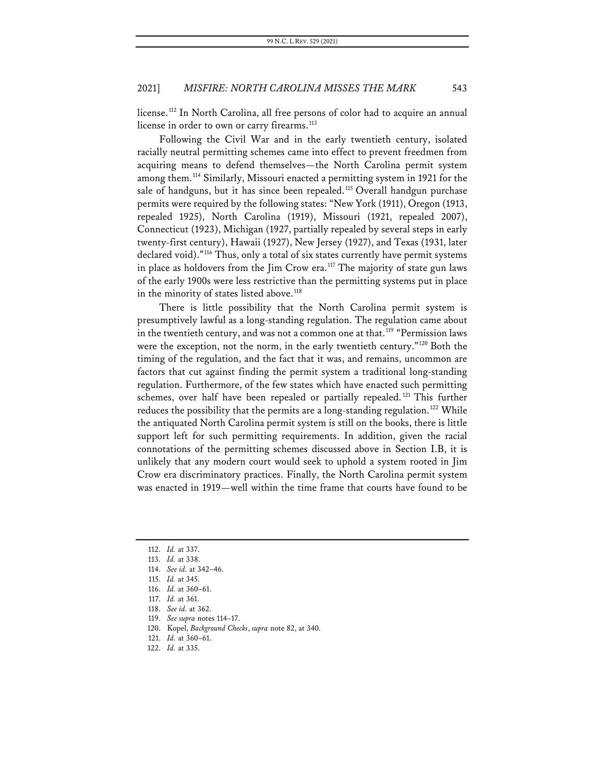license.<sup>[112](#page-15-0)</sup> In North Carolina, all free persons of color had to acquire an annual license in order to own or carry firearms.<sup>[113](#page-15-1)</sup>

Following the Civil War and in the early twentieth century, isolated racially neutral permitting schemes came into effect to prevent freedmen from acquiring means to defend themselves—the North Carolina permit system among them.<sup>[114](#page-15-2)</sup> Similarly, Missouri enacted a permitting system in 1921 for the sale of handguns, but it has since been repealed.<sup>[115](#page-15-3)</sup> Overall handgun purchase permits were required by the following states: "New York (1911), Oregon (1913, repealed 1925), North Carolina (1919), Missouri (1921, repealed 2007), Connecticut (1923), Michigan (1927, partially repealed by several steps in early twenty-first century), Hawaii (1927), New Jersey (1927), and Texas (1931, later declared void)."<sup>[116](#page-15-4)</sup> Thus, only a total of six states currently have permit systems in place as holdovers from the Jim Crow era.<sup>[117](#page-15-5)</sup> The majority of state gun laws of the early 1900s were less restrictive than the permitting systems put in place in the minority of states listed above.<sup>[118](#page-15-6)</sup>

There is little possibility that the North Carolina permit system is presumptively lawful as a long-standing regulation. The regulation came about in the twentieth century, and was not a common one at that.<sup>[119](#page-15-7)</sup> "Permission laws were the exception, not the norm, in the early twentieth century."<sup>[120](#page-15-8)</sup> Both the timing of the regulation, and the fact that it was, and remains, uncommon are factors that cut against finding the permit system a traditional long-standing regulation. Furthermore, of the few states which have enacted such permitting schemes, over half have been repealed or partially repealed.<sup>[121](#page-15-9)</sup> This further reduces the possibility that the permits are a long-standing regulation.<sup>[122](#page-15-10)</sup> While the antiquated North Carolina permit system is still on the books, there is little support left for such permitting requirements. In addition, given the racial connotations of the permitting schemes discussed above in Section I.B, it is unlikely that any modern court would seek to uphold a system rooted in Jim Crow era discriminatory practices. Finally, the North Carolina permit system was enacted in 1919—well within the time frame that courts have found to be

<span id="page-15-0"></span><sup>112.</sup> *Id.* at 337.

<span id="page-15-1"></span><sup>113.</sup> *Id.* at 338.

<span id="page-15-3"></span><span id="page-15-2"></span><sup>114.</sup> *See id.* at 342–46.

<sup>115.</sup> *Id.* at 345.

<span id="page-15-4"></span><sup>116.</sup> *Id.* at 360–61.

<span id="page-15-5"></span><sup>117.</sup> *Id.* at 361.

<span id="page-15-6"></span><sup>118.</sup> *See id.* at 362.

<span id="page-15-7"></span><sup>119.</sup> *See supra* notes 114–17.

<span id="page-15-8"></span><sup>120.</sup> Kopel, *Background Checks*, *supra* note 82, at 340.

<span id="page-15-9"></span><sup>121.</sup> *Id.* at 360–61.

<span id="page-15-10"></span><sup>122.</sup> *Id.* at 335.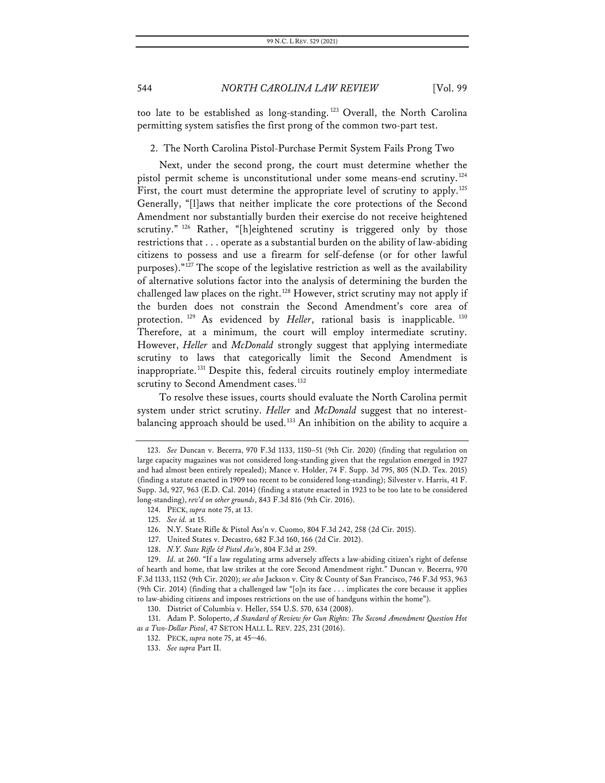too late to be established as long-standing. [123](#page-16-0) Overall, the North Carolina permitting system satisfies the first prong of the common two-part test.

#### 2. The North Carolina Pistol-Purchase Permit System Fails Prong Two

Next, under the second prong, the court must determine whether the pistol permit scheme is unconstitutional under some means-end scrutiny.<sup>[124](#page-16-1)</sup> First, the court must determine the appropriate level of scrutiny to apply.<sup>[125](#page-16-2)</sup> Generally, "[l]aws that neither implicate the core protections of the Second Amendment nor substantially burden their exercise do not receive heightened scrutiny."<sup>[126](#page-16-3)</sup> Rather, "[h]eightened scrutiny is triggered only by those restrictions that . . . operate as a substantial burden on the ability of law-abiding citizens to possess and use a firearm for self-defense (or for other lawful purposes)."[127](#page-16-4) The scope of the legislative restriction as well as the availability of alternative solutions factor into the analysis of determining the burden the challenged law places on the right.<sup>[128](#page-16-5)</sup> However, strict scrutiny may not apply if the burden does not constrain the Second Amendment's core area of protection. [129](#page-16-6) As evidenced by *Heller*, rational basis is inapplicable. [130](#page-16-7) Therefore, at a minimum, the court will employ intermediate scrutiny. However, *Heller* and *McDonald* strongly suggest that applying intermediate scrutiny to laws that categorically limit the Second Amendment is inappropriate.[131](#page-16-8) Despite this, federal circuits routinely employ intermediate scrutiny to Second Amendment cases.<sup>[132](#page-16-9)</sup>

To resolve these issues, courts should evaluate the North Carolina permit system under strict scrutiny. *Heller* and *McDonald* suggest that no interest-balancing approach should be used.<sup>[133](#page-16-10)</sup> An inhibition on the ability to acquire a

- 126. N.Y. State Rifle & Pistol Ass'n v. Cuomo, 804 F.3d 242, 258 (2d Cir. 2015).
- 127. United States v. Decastro, 682 F.3d 160, 166 (2d Cir. 2012).
- 128. *N.Y. State Rifle & Pistol Ass'n*, 804 F.3d at 259.

<span id="page-16-10"></span><span id="page-16-9"></span><span id="page-16-8"></span><span id="page-16-7"></span>131. Adam P. Soloperto, *A Standard of Review for Gun Rights: The Second Amendment Question Hot as a Two-Dollar Pistol*, 47 SETON HALL L. REV. 225, 231 (2016).

<span id="page-16-0"></span><sup>123.</sup> *See* Duncan v. Becerra, 970 F.3d 1133, 1150–51 (9th Cir. 2020) (finding that regulation on large capacity magazines was not considered long-standing given that the regulation emerged in 1927 and had almost been entirely repealed); Mance v. Holder, 74 F. Supp. 3d 795, 805 (N.D. Tex. 2015) (finding a statute enacted in 1909 too recent to be considered long-standing); Silvester v. Harris, 41 F. Supp. 3d, 927, 963 (E.D. Cal. 2014) (finding a statute enacted in 1923 to be too late to be considered long-standing), *rev'd on other grounds*, 843 F.3d 816 (9th Cir. 2016).

<sup>124.</sup> PECK, *supra* note 75, at 13.

<sup>125.</sup> *See id.* at 15.

<span id="page-16-6"></span><span id="page-16-5"></span><span id="page-16-4"></span><span id="page-16-3"></span><span id="page-16-2"></span><span id="page-16-1"></span><sup>129.</sup> *Id.* at 260. "If a law regulating arms adversely affects a law-abiding citizen's right of defense of hearth and home, that law strikes at the core Second Amendment right." Duncan v. Becerra, 970 F.3d 1133, 1152 (9th Cir. 2020); *see also* Jackson v. City & County of San Francisco, 746 F.3d 953, 963 (9th Cir. 2014) (finding that a challenged law "[o]n its face . . . implicates the core because it applies to law-abiding citizens and imposes restrictions on the use of handguns within the home").

<sup>130.</sup> District of Columbia v. Heller, 554 U.S. 570, 634 (2008).

<sup>132.</sup> PECK, *supra* note 75, at 45–46.

<sup>133.</sup> *See supra* Part II.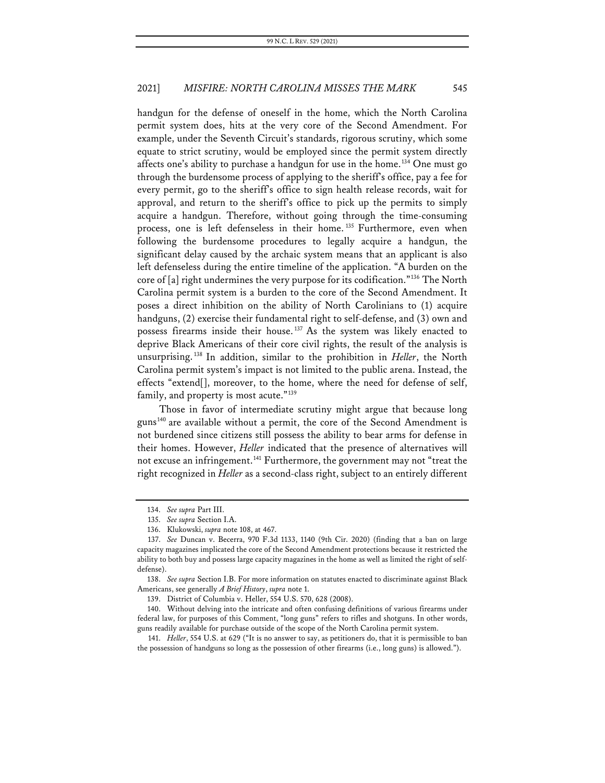handgun for the defense of oneself in the home, which the North Carolina permit system does, hits at the very core of the Second Amendment. For example, under the Seventh Circuit's standards, rigorous scrutiny, which some equate to strict scrutiny, would be employed since the permit system directly affects one's ability to purchase a handgun for use in the home.<sup>[134](#page-17-0)</sup> One must go through the burdensome process of applying to the sheriff's office, pay a fee for every permit, go to the sheriff's office to sign health release records, wait for approval, and return to the sheriff's office to pick up the permits to simply acquire a handgun. Therefore, without going through the time-consuming process, one is left defenseless in their home.<sup>[135](#page-17-1)</sup> Furthermore, even when following the burdensome procedures to legally acquire a handgun, the significant delay caused by the archaic system means that an applicant is also left defenseless during the entire timeline of the application. "A burden on the core of [a] right undermines the very purpose for its codification."<sup>[136](#page-17-2)</sup> The North Carolina permit system is a burden to the core of the Second Amendment. It poses a direct inhibition on the ability of North Carolinians to (1) acquire handguns, (2) exercise their fundamental right to self-defense, and (3) own and possess firearms inside their house. [137](#page-17-3) As the system was likely enacted to deprive Black Americans of their core civil rights, the result of the analysis is unsurprising.[138](#page-17-4) In addition, similar to the prohibition in *Heller*, the North Carolina permit system's impact is not limited to the public arena. Instead, the effects "extend[], moreover, to the home, where the need for defense of self, family, and property is most acute."<sup>[139](#page-17-5)</sup>

Those in favor of intermediate scrutiny might argue that because long guns<sup>[140](#page-17-6)</sup> are available without a permit, the core of the Second Amendment is not burdened since citizens still possess the ability to bear arms for defense in their homes. However, *Heller* indicated that the presence of alternatives will not excuse an infringement.<sup>[141](#page-17-7)</sup> Furthermore, the government may not "treat the right recognized in *Heller* as a second-class right, subject to an entirely different

<sup>134.</sup> *See supra* Part III.

<sup>135.</sup> *See supra* Section I.A.

<sup>136.</sup> Klukowski, *supra* note 108, at 467.

<span id="page-17-3"></span><span id="page-17-2"></span><span id="page-17-1"></span><span id="page-17-0"></span><sup>137.</sup> *See* Duncan v. Becerra, 970 F.3d 1133, 1140 (9th Cir. 2020) (finding that a ban on large capacity magazines implicated the core of the Second Amendment protections because it restricted the ability to both buy and possess large capacity magazines in the home as well as limited the right of selfdefense).

<span id="page-17-4"></span><sup>138.</sup> *See supra* Section I.B. For more information on statutes enacted to discriminate against Black Americans, see generally *A Brief History*, *supra* note 1.

<sup>139.</sup> District of Columbia v. Heller, 554 U.S. 570, 628 (2008).

<span id="page-17-6"></span><span id="page-17-5"></span><sup>140.</sup> Without delving into the intricate and often confusing definitions of various firearms under federal law, for purposes of this Comment, "long guns" refers to rifles and shotguns. In other words, guns readily available for purchase outside of the scope of the North Carolina permit system.

<span id="page-17-7"></span><sup>141.</sup> *Heller*, 554 U.S. at 629 ("It is no answer to say, as petitioners do, that it is permissible to ban the possession of handguns so long as the possession of other firearms (i.e., long guns) is allowed.").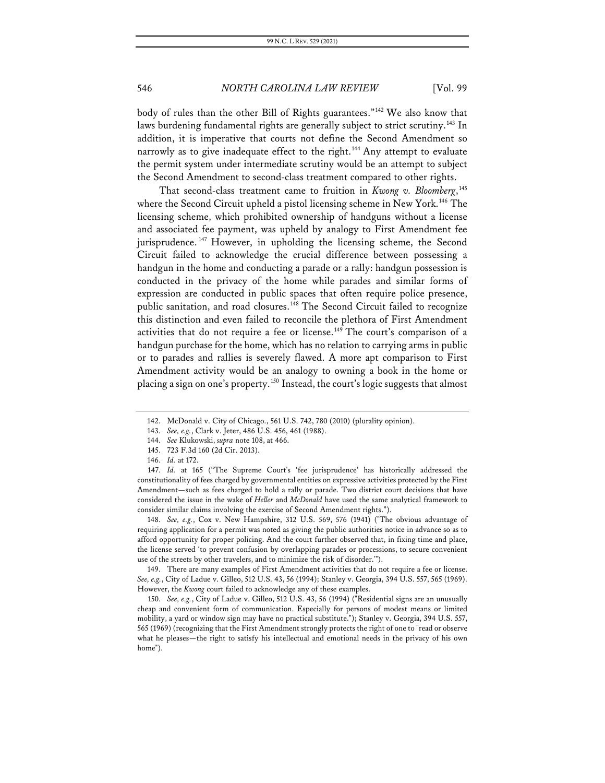body of rules than the other Bill of Rights guarantees."[142](#page-18-0) We also know that laws burdening fundamental rights are generally subject to strict scrutiny.<sup>[143](#page-18-1)</sup> In addition, it is imperative that courts not define the Second Amendment so narrowly as to give inadequate effect to the right.<sup>[144](#page-18-2)</sup> Any attempt to evaluate the permit system under intermediate scrutiny would be an attempt to subject the Second Amendment to second-class treatment compared to other rights.

That second-class treatment came to fruition in *Kwong v. Bloomberg*, [145](#page-18-3) where the Second Circuit upheld a pistol licensing scheme in New York.<sup>[146](#page-18-4)</sup> The licensing scheme, which prohibited ownership of handguns without a license and associated fee payment, was upheld by analogy to First Amendment fee jurisprudence. [147](#page-18-5) However, in upholding the licensing scheme, the Second Circuit failed to acknowledge the crucial difference between possessing a handgun in the home and conducting a parade or a rally: handgun possession is conducted in the privacy of the home while parades and similar forms of expression are conducted in public spaces that often require police presence, public sanitation, and road closures.<sup>[148](#page-18-6)</sup> The Second Circuit failed to recognize this distinction and even failed to reconcile the plethora of First Amendment activities that do not require a fee or license.<sup>[149](#page-18-7)</sup> The court's comparison of a handgun purchase for the home, which has no relation to carrying arms in public or to parades and rallies is severely flawed. A more apt comparison to First Amendment activity would be an analogy to owning a book in the home or placing a sign on one's property. [150](#page-18-8) Instead, the court's logicsuggests that almost

<span id="page-18-6"></span>148. *See, e.g.*, Cox v. New Hampshire, 312 U.S. 569, 576 (1941) ("The obvious advantage of requiring application for a permit was noted as giving the public authorities notice in advance so as to afford opportunity for proper policing. And the court further observed that, in fixing time and place, the license served 'to prevent confusion by overlapping parades or processions, to secure convenient use of the streets by other travelers, and to minimize the risk of disorder.'").

<span id="page-18-7"></span>149. There are many examples of First Amendment activities that do not require a fee or license. *See, e.g.*, City of Ladue v. Gilleo, 512 U.S. 43, 56 (1994); Stanley v. Georgia, 394 U.S. 557, 565 (1969). However, the *Kwong* court failed to acknowledge any of these examples.

<span id="page-18-8"></span>150. *See, e.g.*, City of Ladue v. Gilleo, 512 U.S. 43, 56 (1994) ("Residential signs are an unusually cheap and convenient form of communication. Especially for persons of modest means or limited mobility, a yard or window sign may have no practical substitute."); Stanley v. Georgia, 394 U.S. 557, 565 (1969) (recognizing that the First Amendment strongly protects the right of one to "read or observe what he pleases—the right to satisfy his intellectual and emotional needs in the privacy of his own home").

<sup>142.</sup> McDonald v. City of Chicago., 561 U.S. 742, 780 (2010) (plurality opinion).

<sup>143.</sup> *See, e.g.*, Clark v. Jeter, 486 U.S. 456, 461 (1988).

<sup>144.</sup> *See* Klukowski, *supra* note 108, at 466.

<sup>145.</sup> 723 F.3d 160 (2d Cir. 2013).

<sup>146.</sup> *Id.* at 172.

<span id="page-18-5"></span><span id="page-18-4"></span><span id="page-18-3"></span><span id="page-18-2"></span><span id="page-18-1"></span><span id="page-18-0"></span><sup>147.</sup> *Id.* at 165 ("The Supreme Court's 'fee jurisprudence' has historically addressed the constitutionality of fees charged by governmental entities on expressive activities protected by the First Amendment—such as fees charged to hold a rally or parade. Two district court decisions that have considered the issue in the wake of *Heller* and *McDonald* have used the same analytical framework to consider similar claims involving the exercise of Second Amendment rights.").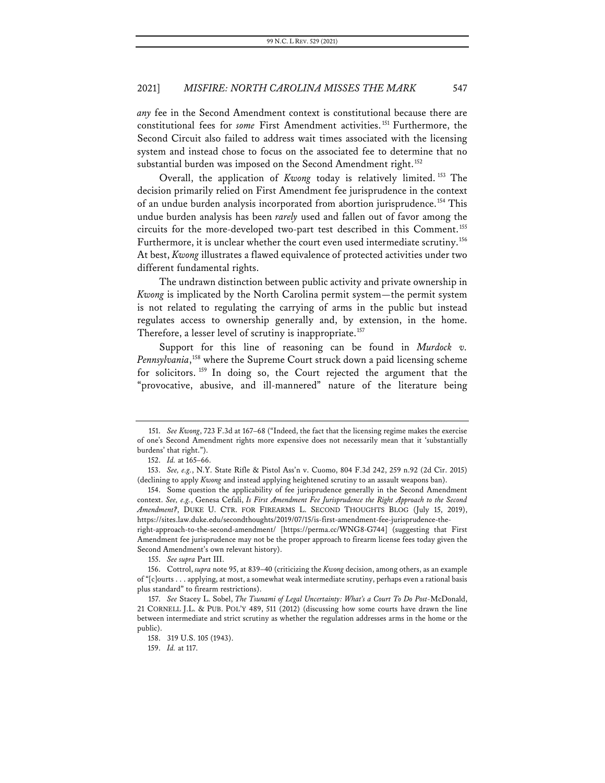*any* fee in the Second Amendment context is constitutional because there are constitutional fees for *some* First Amendment activities.<sup>[151](#page-19-0)</sup> Furthermore, the Second Circuit also failed to address wait times associated with the licensing system and instead chose to focus on the associated fee to determine that no substantial burden was imposed on the Second Amendment right.<sup>[152](#page-19-1)</sup>

Overall, the application of *Kwong* today is relatively limited. [153](#page-19-2) The decision primarily relied on First Amendment fee jurisprudence in the context of an undue burden analysis incorporated from abortion jurisprudence.<sup>[154](#page-19-3)</sup> This undue burden analysis has been *rarely* used and fallen out of favor among the circuits for the more-developed two-part test described in this Comment. [155](#page-19-4) Furthermore, it is unclear whether the court even used intermediate scrutiny.<sup>[156](#page-19-5)</sup> At best, *Kwong* illustrates a flawed equivalence of protected activities under two different fundamental rights.

The undrawn distinction between public activity and private ownership in *Kwong* is implicated by the North Carolina permit system—the permit system is not related to regulating the carrying of arms in the public but instead regulates access to ownership generally and, by extension, in the home. Therefore, a lesser level of scrutiny is inappropriate.<sup>[157](#page-19-6)</sup>

Support for this line of reasoning can be found in *Murdock v. Pennsylvania*, [158](#page-19-7) where the Supreme Court struck down a paid licensing scheme for solicitors. [159](#page-19-8) In doing so, the Court rejected the argument that the "provocative, abusive, and ill-mannered" nature of the literature being

Amendment fee jurisprudence may not be the proper approach to firearm license fees today given the Second Amendment's own relevant history).

155. *See supra* Part III.

<span id="page-19-0"></span><sup>151.</sup> *See Kwong*, 723 F.3d at 167–68 ("Indeed, the fact that the licensing regime makes the exercise of one's Second Amendment rights more expensive does not necessarily mean that it 'substantially burdens' that right.").

<sup>152.</sup> *Id.* at 165–66.

<span id="page-19-2"></span><span id="page-19-1"></span><sup>153.</sup> *See, e.g.*, N.Y. State Rifle & Pistol Ass'n v. Cuomo, 804 F.3d 242, 259 n.92 (2d Cir. 2015) (declining to apply *Kwong* and instead applying heightened scrutiny to an assault weapons ban).

<span id="page-19-3"></span><sup>154.</sup> Some question the applicability of fee jurisprudence generally in the Second Amendment context. *See, e.g.*, Genesa Cefali, *Is First Amendment Fee Jurisprudence the Right Approach to the Second Amendment?*, DUKE U. CTR. FOR FIREARMS L. SECOND THOUGHTS BLOG (July 15, 2019), https://sites.law.duke.edu/secondthoughts/2019/07/15/is-first-amendment-fee-jurisprudence-theright-approach-to-the-second-amendment/ [https://perma.cc/WNG8-G744] (suggesting that First

<span id="page-19-5"></span><span id="page-19-4"></span><sup>156.</sup> Cottrol, *supra* note 95, at 839–40 (criticizing the *Kwong* decision, among others, as an example of "[c]ourts . . . applying, at most, a somewhat weak intermediate scrutiny, perhaps even a rational basis plus standard" to firearm restrictions).

<span id="page-19-8"></span><span id="page-19-7"></span><span id="page-19-6"></span><sup>157.</sup> *See* Stacey L. Sobel, *The Tsunami of Legal Uncertainty: What's a Court To Do Post-*McDonald, 21 CORNELL J.L. & PUB. POL'Y 489, 511 (2012) (discussing how some courts have drawn the line between intermediate and strict scrutiny as whether the regulation addresses arms in the home or the public).

<sup>158.</sup> 319 U.S. 105 (1943).

<sup>159.</sup> *Id.* at 117.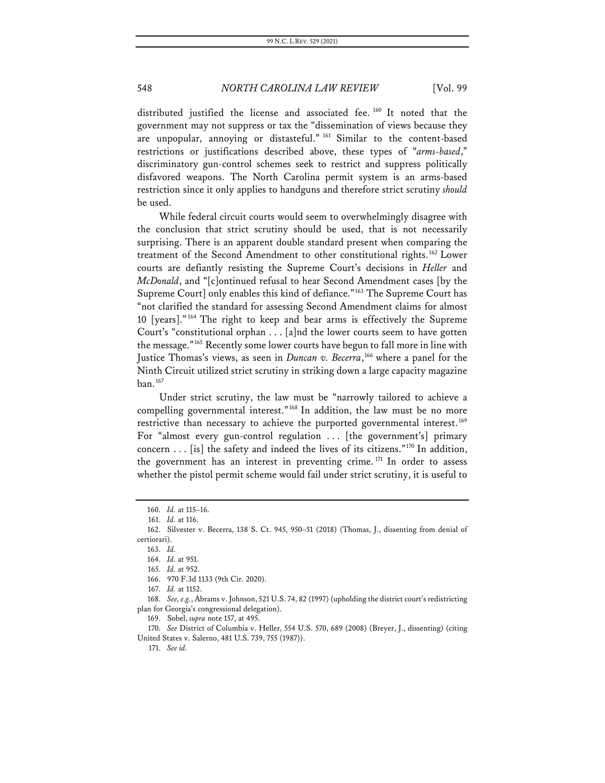distributed justified the license and associated fee.<sup>[160](#page-20-0)</sup> It noted that the government may not suppress or tax the "dissemination of views because they are unpopular, annoying or distasteful." [161](#page-20-1) Similar to the content-based restrictions or justifications described above, these types of "*arms-based*," discriminatory gun-control schemes seek to restrict and suppress politically disfavored weapons. The North Carolina permit system is an arms-based restriction since it only applies to handguns and therefore strict scrutiny *should* be used.

While federal circuit courts would seem to overwhelmingly disagree with the conclusion that strict scrutiny should be used, that is not necessarily surprising. There is an apparent double standard present when comparing the treatment of the Second Amendment to other constitutional rights.<sup>[162](#page-20-2)</sup> Lower courts are defiantly resisting the Supreme Court's decisions in *Heller* and *McDonald*, and "[c]ontinued refusal to hear Second Amendment cases [by the Supreme Court] only enables this kind of defiance."<sup>[163](#page-20-3)</sup> The Supreme Court has "not clarified the standard for assessing Second Amendment claims for almost 10 [years]."[164](#page-20-4) The right to keep and bear arms is effectively the Supreme Court's "constitutional orphan . . . [a]nd the lower courts seem to have gotten the message."[165](#page-20-5) Recently some lower courts have begun to fall more in line with Justice Thomas's views, as seen in *Duncan v. Becerra*, [166](#page-20-6) where a panel for the Ninth Circuit utilized strict scrutiny in striking down a large capacity magazine  $ban.<sup>167</sup>$  $ban.<sup>167</sup>$  $ban.<sup>167</sup>$ 

Under strict scrutiny, the law must be "narrowly tailored to achieve a compelling governmental interest."<sup>[168](#page-20-8)</sup> In addition, the law must be no more restrictive than necessary to achieve the purported governmental interest.<sup>[169](#page-20-9)</sup> For "almost every gun-control regulation ... [the government's] primary concern  $\ldots$  [is] the safety and indeed the lives of its citizens."<sup>[170](#page-20-10)</sup> In addition, the government has an interest in preventing crime.<sup>[171](#page-20-11)</sup> In order to assess whether the pistol permit scheme would fail under strict scrutiny, it is useful to

163. *Id.*

<span id="page-20-8"></span><span id="page-20-7"></span><span id="page-20-6"></span><span id="page-20-5"></span>168. *See, e.g.*, Abrams v. Johnson, 521 U.S. 74, 82 (1997) (upholding the district court's redistricting plan for Georgia's congressional delegation).

169. Sobel, *supra* note 157, at 495.

<span id="page-20-11"></span><span id="page-20-10"></span><span id="page-20-9"></span>170. *See* District of Columbia v. Heller, 554 U.S. 570, 689 (2008) (Breyer, J., dissenting) (citing United States v. Salerno, 481 U.S. 739, 755 (1987)).

171. *See id.*

<sup>160.</sup> *Id.* at 115–16.

<sup>161.</sup> *Id.* at 116.

<span id="page-20-4"></span><span id="page-20-3"></span><span id="page-20-2"></span><span id="page-20-1"></span><span id="page-20-0"></span><sup>162.</sup> Silvester v. Becerra, 138 S. Ct. 945, 950–51 (2018) (Thomas, J., dissenting from denial of certiorari).

<sup>164.</sup> *Id.* at 951.

<sup>165.</sup> *Id.* at 952.

<sup>166.</sup> 970 F.3d 1133 (9th Cir. 2020).

<sup>167.</sup> *Id.* at 1152.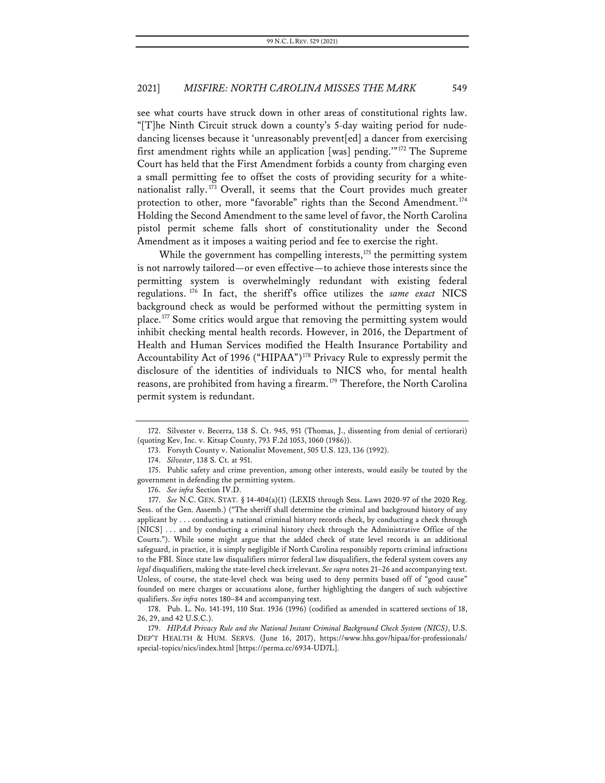see what courts have struck down in other areas of constitutional rights law. "[T]he Ninth Circuit struck down a county's 5-day waiting period for nudedancing licenses because it 'unreasonably prevent[ed] a dancer from exercising first amendment rights while an application [was] pending.'"[172](#page-21-0) The Supreme Court has held that the First Amendment forbids a county from charging even a small permitting fee to offset the costs of providing security for a white-nationalist rally.<sup>[173](#page-21-1)</sup> Overall, it seems that the Court provides much greater protection to other, more "favorable" rights than the Second Amendment.<sup>[174](#page-21-2)</sup> Holding the Second Amendment to the same level of favor, the North Carolina pistol permit scheme falls short of constitutionality under the Second Amendment as it imposes a waiting period and fee to exercise the right.

While the government has compelling interests, $175$  the permitting system is not narrowly tailored—or even effective—to achieve those interests since the permitting system is overwhelmingly redundant with existing federal regulations. [176](#page-21-4) In fact, the sheriff's office utilizes the *same exact* NICS background check as would be performed without the permitting system in place.[177](#page-21-5) Some critics would argue that removing the permitting system would inhibit checking mental health records. However, in 2016, the Department of Health and Human Services modified the Health Insurance Portability and Accountability Act of 1996 ("HIPAA")<sup>[178](#page-21-6)</sup> Privacy Rule to expressly permit the disclosure of the identities of individuals to NICS who, for mental health reasons, are prohibited from having a firearm.<sup>[179](#page-21-7)</sup> Therefore, the North Carolina permit system is redundant.

176. *See infra* Section IV.D.

<span id="page-21-7"></span>179. *HIPAA Privacy Rule and the National Instant Criminal Background Check System (NICS)*, U.S. DEP'T HEALTH & HUM. SERVS. (June 16, 2017), https://www.hhs.gov/hipaa/for-professionals/ special-topics/nics/index.html [https://perma.cc/6934-UD7L].

<span id="page-21-1"></span><span id="page-21-0"></span><sup>172.</sup> Silvester v. Becerra, 138 S. Ct. 945, 951 (Thomas, J., dissenting from denial of certiorari) (quoting Kev, Inc. v. Kitsap County, 793 F.2d 1053, 1060 (1986)).

<sup>173.</sup> Forsyth County v. Nationalist Movement, 505 U.S. 123, 136 (1992).

<sup>174.</sup> *Silvester*, 138 S. Ct. at 951.

<span id="page-21-3"></span><span id="page-21-2"></span><sup>175.</sup> Public safety and crime prevention, among other interests, would easily be touted by the government in defending the permitting system.

<span id="page-21-5"></span><span id="page-21-4"></span><sup>177.</sup> *See* N.C. GEN. STAT. § 14-404(a)(1) (LEXIS through Sess. Laws 2020-97 of the 2020 Reg. Sess. of the Gen. Assemb.) ("The sheriff shall determine the criminal and background history of any applicant by . . . conducting a national criminal history records check, by conducting a check through [NICS] ... and by conducting a criminal history check through the Administrative Office of the Courts."). While some might argue that the added check of state level records is an additional safeguard, in practice, it is simply negligible if North Carolina responsibly reports criminal infractions to the FBI. Since state law disqualifiers mirror federal law disqualifiers, the federal system covers any *legal* disqualifiers, making the state-level check irrelevant. *See supra* notes 21–26 and accompanying text. Unless, of course, the state-level check was being used to deny permits based off of "good cause" founded on mere charges or accusations alone, further highlighting the dangers of such subjective qualifiers. *See infra* notes 180–84 and accompanying text.

<span id="page-21-6"></span><sup>178.</sup> Pub. L. No. 141-191, 110 Stat. 1936 (1996) (codified as amended in scattered sections of 18, 26, 29, and 42 U.S.C.).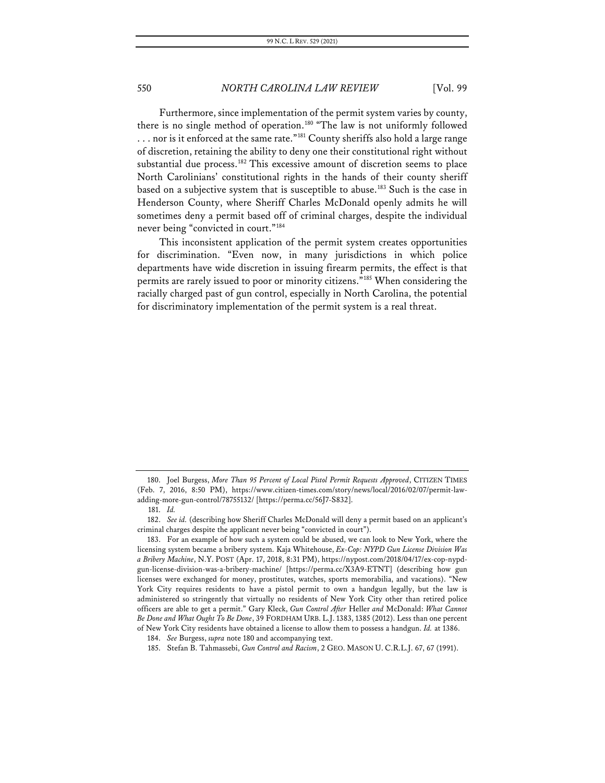Furthermore, since implementation of the permit system varies by county, there is no single method of operation.<sup>[180](#page-22-0)</sup> "The law is not uniformly followed ... nor is it enforced at the same rate."<sup>[181](#page-22-1)</sup> County sheriffs also hold a large range of discretion, retaining the ability to deny one their constitutional right without substantial due process.<sup>[182](#page-22-2)</sup> This excessive amount of discretion seems to place North Carolinians' constitutional rights in the hands of their county sheriff based on a subjective system that is susceptible to abuse.<sup>[183](#page-22-3)</sup> Such is the case in Henderson County, where Sheriff Charles McDonald openly admits he will sometimes deny a permit based off of criminal charges, despite the individual never being "convicted in court."[184](#page-22-4)

This inconsistent application of the permit system creates opportunities for discrimination. "Even now, in many jurisdictions in which police departments have wide discretion in issuing firearm permits, the effect is that permits are rarely issued to poor or minority citizens."[185](#page-22-5) When considering the racially charged past of gun control, especially in North Carolina, the potential for discriminatory implementation of the permit system is a real threat.

<span id="page-22-0"></span><sup>180.</sup> Joel Burgess, *More Than 95 Percent of Local Pistol Permit Requests Approved*, CITIZEN TIMES (Feb. 7, 2016, 8:50 PM), https://www.citizen-times.com/story/news/local/2016/02/07/permit-lawadding-more-gun-control/78755132/ [https://perma.cc/56J7-S832].

<sup>181.</sup> *Id.*

<span id="page-22-2"></span><span id="page-22-1"></span><sup>182.</sup> *See id.* (describing how Sheriff Charles McDonald will deny a permit based on an applicant's criminal charges despite the applicant never being "convicted in court").

<span id="page-22-3"></span><sup>183.</sup> For an example of how such a system could be abused, we can look to New York, where the licensing system became a bribery system. Kaja Whitehouse, *Ex-Cop: NYPD Gun License Division Was a Bribery Machine*, N.Y. POST (Apr. 17, 2018, 8:31 PM), https://nypost.com/2018/04/17/ex-cop-nypdgun-license-division-was-a-bribery-machine/ [https://perma.cc/X3A9-ETNT] (describing how gun licenses were exchanged for money, prostitutes, watches, sports memorabilia, and vacations). "New York City requires residents to have a pistol permit to own a handgun legally, but the law is administered so stringently that virtually no residents of New York City other than retired police officers are able to get a permit." Gary Kleck, *Gun Control After* Heller *and* McDonald: *What Cannot Be Done and What Ought To Be Done*, 39 FORDHAM URB. L.J.1383, 1385 (2012). Less than one percent of New York City residents have obtained a license to allow them to possess a handgun. *Id.* at 1386.

<span id="page-22-5"></span><span id="page-22-4"></span><sup>184.</sup> *See* Burgess, *supra* note 180 and accompanying text.

<sup>185.</sup> Stefan B. Tahmassebi, *Gun Control and Racism*, 2 GEO. MASON U. C.R.L.J. 67, 67 (1991).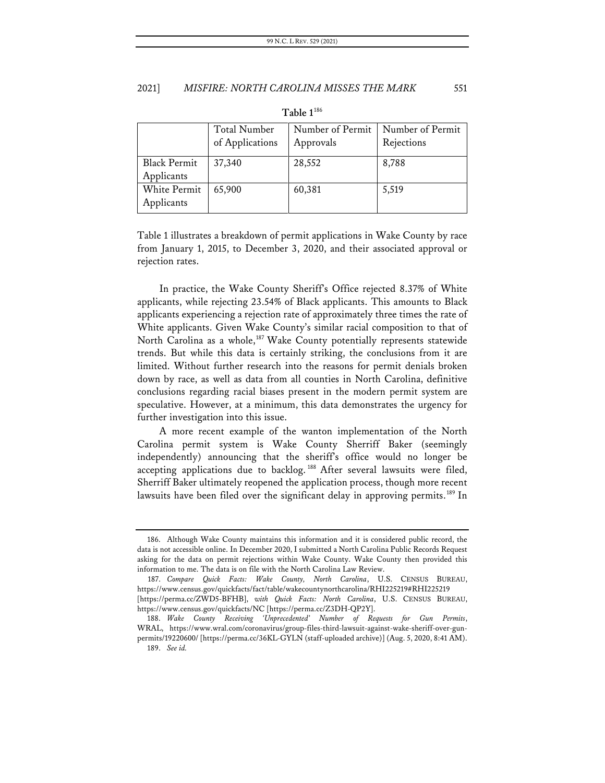|                                   | Total Number<br>of Applications | Number of Permit<br>Approvals | Number of Permit<br>Rejections |
|-----------------------------------|---------------------------------|-------------------------------|--------------------------------|
| <b>Black Permit</b><br>Applicants | 37,340                          | 28,552                        | 8,788                          |
| White Permit<br>Applicants        | 65,900                          | 60,381                        | 5,519                          |

#### **Table 1**[186](#page-23-0)

Table 1 illustrates a breakdown of permit applications in Wake County by race from January 1, 2015, to December 3, 2020, and their associated approval or rejection rates.

In practice, the Wake County Sheriff's Office rejected 8.37% of White applicants, while rejecting 23.54% of Black applicants. This amounts to Black applicants experiencing a rejection rate of approximately three times the rate of White applicants. Given Wake County's similar racial composition to that of North Carolina as a whole,<sup>[187](#page-23-1)</sup> Wake County potentially represents statewide trends. But while this data is certainly striking, the conclusions from it are limited. Without further research into the reasons for permit denials broken down by race, as well as data from all counties in North Carolina, definitive conclusions regarding racial biases present in the modern permit system are speculative. However, at a minimum, this data demonstrates the urgency for further investigation into this issue.

A more recent example of the wanton implementation of the North Carolina permit system is Wake County Sherriff Baker (seemingly independently) announcing that the sheriff's office would no longer be accepting applications due to backlog.<sup>[188](#page-23-2)</sup> After several lawsuits were filed, Sherriff Baker ultimately reopened the application process, though more recent lawsuits have been filed over the significant delay in approving permits.<sup>[189](#page-23-3)</sup> In

<span id="page-23-0"></span><sup>186.</sup> Although Wake County maintains this information and it is considered public record, the data is not accessible online. In December 2020, I submitted a North Carolina Public Records Request asking for the data on permit rejections within Wake County. Wake County then provided this information to me. The data is on file with the North Carolina Law Review.

<span id="page-23-1"></span><sup>187.</sup> *Compare Quick Facts: Wake County, North Carolina*, U.S. CENSUS BUREAU, https://www.census.gov/quickfacts/fact/table/wakecountynorthcarolina/RHI225219#RHI225219 [https://perma.cc/ZWD5-BFHB], *with Quick Facts: North Carolina*, U.S. CENSUS BUREAU, https://www.census.gov/quickfacts/NC [https://perma.cc/Z3DH-QP2Y].

<span id="page-23-3"></span><span id="page-23-2"></span><sup>188.</sup> *Wake County Receiving 'Unprecedented' Number of Requests for Gun Permits*, WRAL, https://www.wral.com/coronavirus/group-files-third-lawsuit-against-wake-sheriff-over-gunpermits/19220600/ [https://perma.cc/36KL-GYLN (staff-uploaded archive)] (Aug. 5, 2020, 8:41 AM).

<sup>189.</sup> *See id.*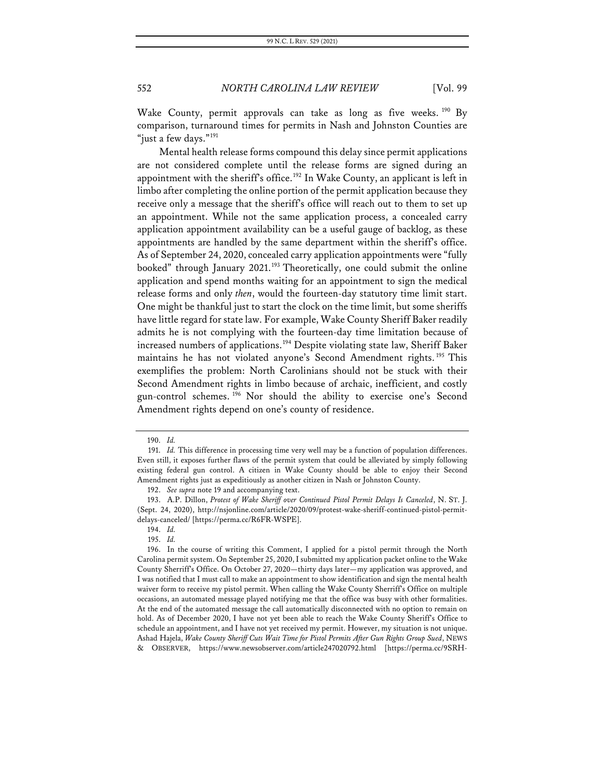Wake County, permit approvals can take as long as five weeks.<sup>[190](#page-24-0)</sup> By comparison, turnaround times for permits in Nash and Johnston Counties are "just a few days."<sup>[191](#page-24-1)</sup>

Mental health release forms compound this delay since permit applications are not considered complete until the release forms are signed during an appointment with the sheriff's office.<sup>[192](#page-24-2)</sup> In Wake County, an applicant is left in limbo after completing the online portion of the permit application because they receive only a message that the sheriff's office will reach out to them to set up an appointment. While not the same application process, a concealed carry application appointment availability can be a useful gauge of backlog, as these appointments are handled by the same department within the sheriff's office. As of September 24, 2020, concealed carry application appointments were "fully booked" through January 2021.<sup>[193](#page-24-3)</sup> Theoretically, one could submit the online application and spend months waiting for an appointment to sign the medical release forms and only *then*, would the fourteen-day statutory time limit start. One might be thankful just to start the clock on the time limit, but some sheriffs have little regard for state law. For example, Wake County Sheriff Baker readily admits he is not complying with the fourteen-day time limitation because of increased numbers of applications.<sup>[194](#page-24-4)</sup> Despite violating state law, Sheriff Baker maintains he has not violated anyone's Second Amendment rights. [195](#page-24-5) This exemplifies the problem: North Carolinians should not be stuck with their Second Amendment rights in limbo because of archaic, inefficient, and costly gun-control schemes. [196](#page-24-6) Nor should the ability to exercise one's Second Amendment rights depend on one's county of residence.

<sup>190.</sup> *Id.*

<span id="page-24-1"></span><span id="page-24-0"></span><sup>191.</sup> *Id.* This difference in processing time very well may be a function of population differences. Even still, it exposes further flaws of the permit system that could be alleviated by simply following existing federal gun control. A citizen in Wake County should be able to enjoy their Second Amendment rights just as expeditiously as another citizen in Nash or Johnston County.

<sup>192.</sup> *See supra* note 19 and accompanying text.

<span id="page-24-3"></span><span id="page-24-2"></span><sup>193.</sup> A.P. Dillon, *Protest of Wake Sheriff over Continued Pistol Permit Delays Is Canceled*, N. ST. J. (Sept. 24, 2020), http://nsjonline.com/article/2020/09/protest-wake-sheriff-continued-pistol-permitdelays-canceled/ [https://perma.cc/R6FR-WSPE].

<sup>194.</sup> *Id.*

<sup>195.</sup> *Id.*

<span id="page-24-6"></span><span id="page-24-5"></span><span id="page-24-4"></span><sup>196.</sup> In the course of writing this Comment, I applied for a pistol permit through the North Carolina permit system. On September 25, 2020, I submitted my application packet online to the Wake County Sherriff's Office. On October 27, 2020—thirty days later—my application was approved, and I was notified that I must call to make an appointment to show identification and sign the mental health waiver form to receive my pistol permit. When calling the Wake County Sherriff's Office on multiple occasions, an automated message played notifying me that the office was busy with other formalities. At the end of the automated message the call automatically disconnected with no option to remain on hold. As of December 2020, I have not yet been able to reach the Wake County Sheriff's Office to schedule an appointment, and I have not yet received my permit. However, my situation is not unique. Ashad Hajela, *Wake County Sheriff Cuts Wait Time for Pistol Permits After Gun Rights Group Sued*, NEWS & OBSERVER, https://www.newsobserver.com/article247020792.html [https://perma.cc/9SRH-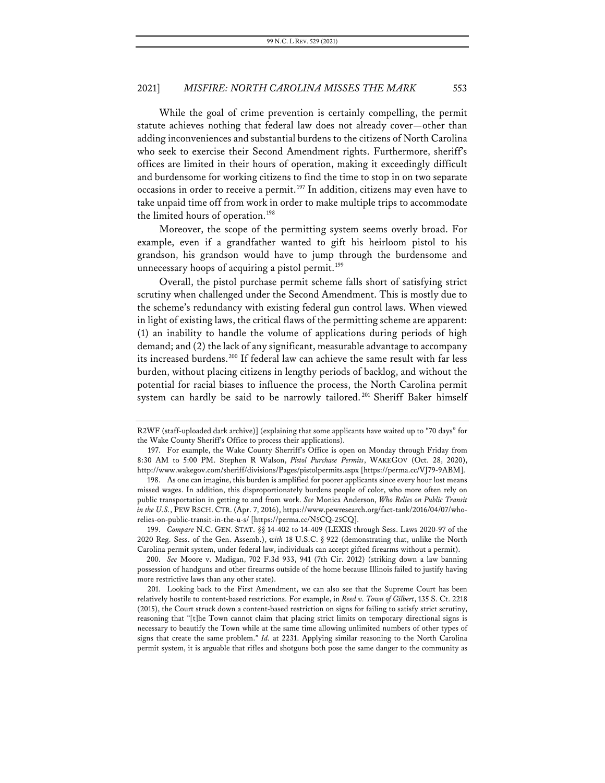While the goal of crime prevention is certainly compelling, the permit statute achieves nothing that federal law does not already cover—other than adding inconveniences and substantial burdens to the citizens of North Carolina who seek to exercise their Second Amendment rights. Furthermore, sheriff's offices are limited in their hours of operation, making it exceedingly difficult and burdensome for working citizens to find the time to stop in on two separate occasions in order to receive a permit.<sup>[197](#page-25-0)</sup> In addition, citizens may even have to take unpaid time off from work in order to make multiple trips to accommodate the limited hours of operation.<sup>[198](#page-25-1)</sup>

Moreover, the scope of the permitting system seems overly broad. For example, even if a grandfather wanted to gift his heirloom pistol to his grandson, his grandson would have to jump through the burdensome and unnecessary hoops of acquiring a pistol permit.<sup>[199](#page-25-2)</sup>

Overall, the pistol purchase permit scheme falls short of satisfying strict scrutiny when challenged under the Second Amendment. This is mostly due to the scheme's redundancy with existing federal gun control laws. When viewed in light of existing laws, the critical flaws of the permitting scheme are apparent: (1) an inability to handle the volume of applications during periods of high demand; and (2) the lack of any significant, measurable advantage to accompany its increased burdens.<sup>[200](#page-25-3)</sup> If federal law can achieve the same result with far less burden, without placing citizens in lengthy periods of backlog, and without the potential for racial biases to influence the process, the North Carolina permit system can hardly be said to be narrowly tailored.<sup>[201](#page-25-4)</sup> Sheriff Baker himself

<span id="page-25-2"></span>199. *Compare* N.C. GEN. STAT. §§ 14-402 to 14-409 (LEXIS through Sess. Laws 2020-97 of the 2020 Reg. Sess. of the Gen. Assemb.), *with* 18 U.S.C. § 922 (demonstrating that, unlike the North Carolina permit system, under federal law, individuals can accept gifted firearms without a permit).

<span id="page-25-3"></span>200. *See* Moore v. Madigan, 702 F.3d 933, 941 (7th Cir. 2012) (striking down a law banning possession of handguns and other firearms outside of the home because Illinois failed to justify having more restrictive laws than any other state).

<span id="page-25-4"></span>201. Looking back to the First Amendment, we can also see that the Supreme Court has been relatively hostile to content-based restrictions. For example, in *Reed v. Town of Gilbert*, 135 S. Ct. 2218 (2015), the Court struck down a content-based restriction on signs for failing to satisfy strict scrutiny, reasoning that "[t]he Town cannot claim that placing strict limits on temporary directional signs is necessary to beautify the Town while at the same time allowing unlimited numbers of other types of signs that create the same problem." *Id.* at 2231. Applying similar reasoning to the North Carolina permit system, it is arguable that rifles and shotguns both pose the same danger to the community as

R2WF (staff-uploaded dark archive)] (explaining that some applicants have waited up to "70 days" for the Wake County Sheriff's Office to process their applications).

<span id="page-25-0"></span><sup>197.</sup> For example, the Wake County Sherriff's Office is open on Monday through Friday from 8:30 AM to 5:00 PM. Stephen R Walson, *Pistol Purchase Permits*, WAKEGOV (Oct. 28, 2020), http://www.wakegov.com/sheriff/divisions/Pages/pistolpermits.aspx [https://perma.cc/VJ79-9ABM].

<span id="page-25-1"></span><sup>198.</sup> As one can imagine, this burden is amplified for poorer applicants since every hour lost means missed wages. In addition, this disproportionately burdens people of color, who more often rely on public transportation in getting to and from work. *See* Monica Anderson, *Who Relies on Public Transit in the U.S.*, PEW RSCH. CTR. (Apr. 7, 2016), https://www.pewresearch.org/fact-tank/2016/04/07/whorelies-on-public-transit-in-the-u-s/ [https://perma.cc/N5CQ-25CQ].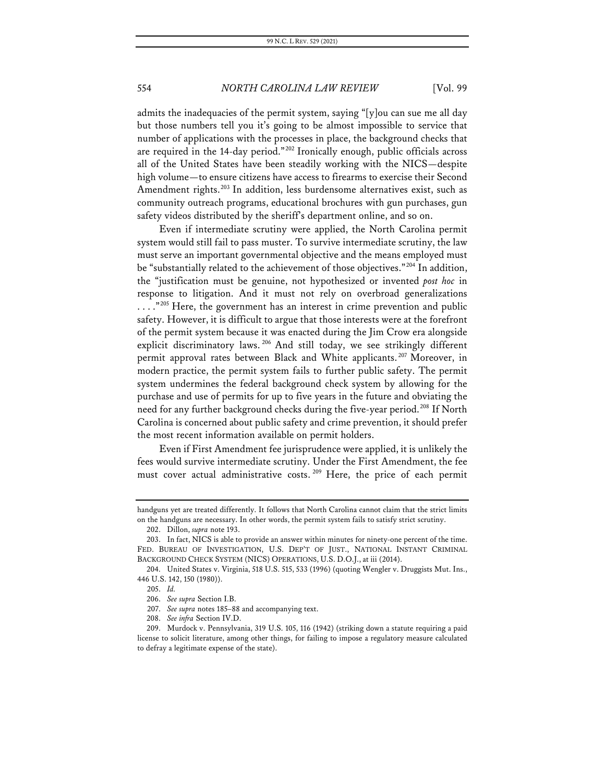admits the inadequacies of the permit system, saying "[y]ou can sue me all day but those numbers tell you it's going to be almost impossible to service that number of applications with the processes in place, the background checks that are required in the 14-day period."<sup>[202](#page-26-0)</sup> Ironically enough, public officials across all of the United States have been steadily working with the NICS—despite high volume—to ensure citizens have access to firearms to exercise their Second Amendment rights.<sup>[203](#page-26-1)</sup> In addition, less burdensome alternatives exist, such as community outreach programs, educational brochures with gun purchases, gun safety videos distributed by the sheriff's department online, and so on.

Even if intermediate scrutiny were applied, the North Carolina permit system would still fail to pass muster. To survive intermediate scrutiny, the law must serve an important governmental objective and the means employed must be "substantially related to the achievement of those objectives."[204](#page-26-2) In addition, the "justification must be genuine, not hypothesized or invented *post hoc* in response to litigation. And it must not rely on overbroad generalizations ...."<sup>[205](#page-26-3)</sup> Here, the government has an interest in crime prevention and public safety. However, it is difficult to argue that those interests were at the forefront of the permit system because it was enacted during the Jim Crow era alongside explicit discriminatory laws.<sup>[206](#page-26-4)</sup> And still today, we see strikingly different permit approval rates between Black and White applicants.<sup>[207](#page-26-5)</sup> Moreover, in modern practice, the permit system fails to further public safety. The permit system undermines the federal background check system by allowing for the purchase and use of permits for up to five years in the future and obviating the need for any further background checks during the five-year period. [208](#page-26-6) If North Carolina is concerned about public safety and crime prevention, it should prefer the most recent information available on permit holders.

Even if First Amendment fee jurisprudence were applied, it is unlikely the fees would survive intermediate scrutiny. Under the First Amendment, the fee must cover actual administrative costs.<sup>[209](#page-26-7)</sup> Here, the price of each permit

handguns yet are treated differently. It follows that North Carolina cannot claim that the strict limits on the handguns are necessary. In other words, the permit system fails to satisfy strict scrutiny.

<sup>202.</sup> Dillon, *supra* note 193.

<span id="page-26-1"></span><span id="page-26-0"></span><sup>203.</sup> In fact, NICS is able to provide an answer within minutes for ninety-one percent of the time. FED. BUREAU OF INVESTIGATION, U.S. DEP'T OF JUST., NATIONAL INSTANT CRIMINAL BACKGROUND CHECK SYSTEM (NICS) OPERATIONS, U.S. D.O.J., at iii (2014).

<span id="page-26-4"></span><span id="page-26-3"></span><span id="page-26-2"></span><sup>204.</sup> United States v. Virginia, 518 U.S. 515, 533 (1996) (quoting Wengler v. Druggists Mut. Ins., 446 U.S. 142, 150 (1980)).

<sup>205.</sup> *Id.*

<sup>206.</sup> *See supra* Section I.B.

<sup>207.</sup> *See supra* notes 185–88 and accompanying text.

<sup>208.</sup> *See infra* Section IV.D.

<span id="page-26-7"></span><span id="page-26-6"></span><span id="page-26-5"></span><sup>209.</sup> Murdock v. Pennsylvania, 319 U.S. 105, 116 (1942) (striking down a statute requiring a paid license to solicit literature, among other things, for failing to impose a regulatory measure calculated to defray a legitimate expense of the state).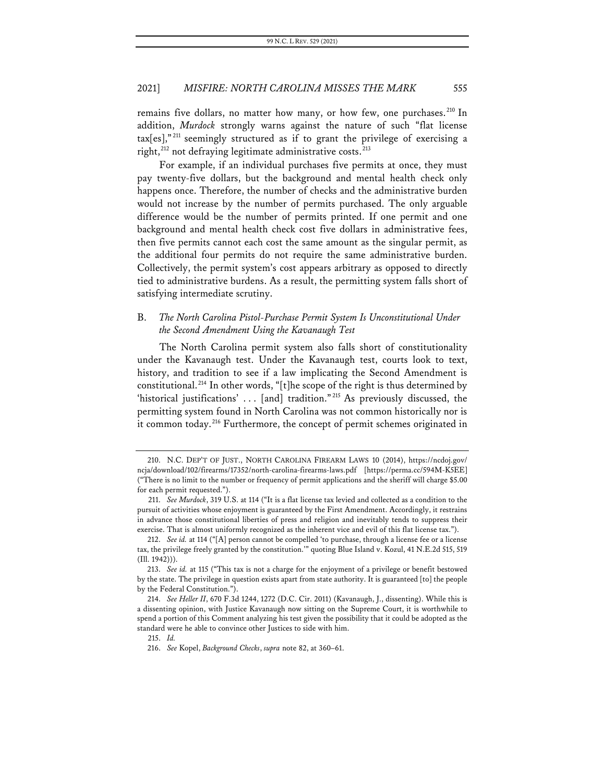remains five dollars, no matter how many, or how few, one purchases.<sup>[210](#page-27-0)</sup> In addition, *Murdock* strongly warns against the nature of such "flat license  $\text{tax}[\text{es}]$ ,"<sup>[211](#page-27-1)</sup> seemingly structured as if to grant the privilege of exercising a right,<sup>[212](#page-27-2)</sup> not defraying legitimate administrative costs.<sup>[213](#page-27-3)</sup>

For example, if an individual purchases five permits at once, they must pay twenty-five dollars, but the background and mental health check only happens once. Therefore, the number of checks and the administrative burden would not increase by the number of permits purchased. The only arguable difference would be the number of permits printed. If one permit and one background and mental health check cost five dollars in administrative fees, then five permits cannot each cost the same amount as the singular permit, as the additional four permits do not require the same administrative burden. Collectively, the permit system's cost appears arbitrary as opposed to directly tied to administrative burdens. As a result, the permitting system falls short of satisfying intermediate scrutiny.

## B. *The North Carolina Pistol-Purchase Permit System Is Unconstitutional Under the Second Amendment Using the Kavanaugh Test*

The North Carolina permit system also falls short of constitutionality under the Kavanaugh test. Under the Kavanaugh test, courts look to text, history, and tradition to see if a law implicating the Second Amendment is constitutional.<sup>[214](#page-27-4)</sup> In other words, "[t]he scope of the right is thus determined by 'historical justifications' . . . [and] tradition."<sup>[215](#page-27-5)</sup> As previously discussed, the permitting system found in North Carolina was not common historically nor is it common today.<sup>[216](#page-27-6)</sup> Furthermore, the concept of permit schemes originated in

<span id="page-27-0"></span><sup>210.</sup> N.C. DEP'T OF JUST., NORTH CAROLINA FIREARM LAWS 10 (2014), https://ncdoj.gov/ ncja/download/102/firearms/17352/north-carolina-firearms-laws.pdf [https://perma.cc/594M-K5EE] ("There is no limit to the number or frequency of permit applications and the sheriff will charge \$5.00 for each permit requested.").

<span id="page-27-1"></span><sup>211.</sup> *See Murdock*, 319 U.S. at 114 ("It is a flat license tax levied and collected as a condition to the pursuit of activities whose enjoyment is guaranteed by the First Amendment. Accordingly, it restrains in advance those constitutional liberties of press and religion and inevitably tends to suppress their exercise. That is almost uniformly recognized as the inherent vice and evil of this flat license tax.").

<span id="page-27-2"></span><sup>212.</sup> *See id.* at 114 ("[A] person cannot be compelled 'to purchase, through a license fee or a license tax, the privilege freely granted by the constitution.'" quoting Blue Island v. Kozul, 41 N.E.2d 515, 519 (Ill. 1942))).

<span id="page-27-3"></span><sup>213.</sup> *See id.* at 115 ("This tax is not a charge for the enjoyment of a privilege or benefit bestowed by the state. The privilege in question exists apart from state authority. It is guaranteed [to] the people by the Federal Constitution.").

<span id="page-27-5"></span><span id="page-27-4"></span><sup>214.</sup> *See Heller II*, 670 F.3d 1244, 1272 (D.C. Cir. 2011) (Kavanaugh, J., dissenting). While this is a dissenting opinion, with Justice Kavanaugh now sitting on the Supreme Court, it is worthwhile to spend a portion of this Comment analyzing his test given the possibility that it could be adopted as the standard were he able to convince other Justices to side with him.

<sup>215.</sup> *Id.*

<span id="page-27-6"></span><sup>216.</sup> *See* Kopel, *Background Checks*, *supra* note 82, at 360–61.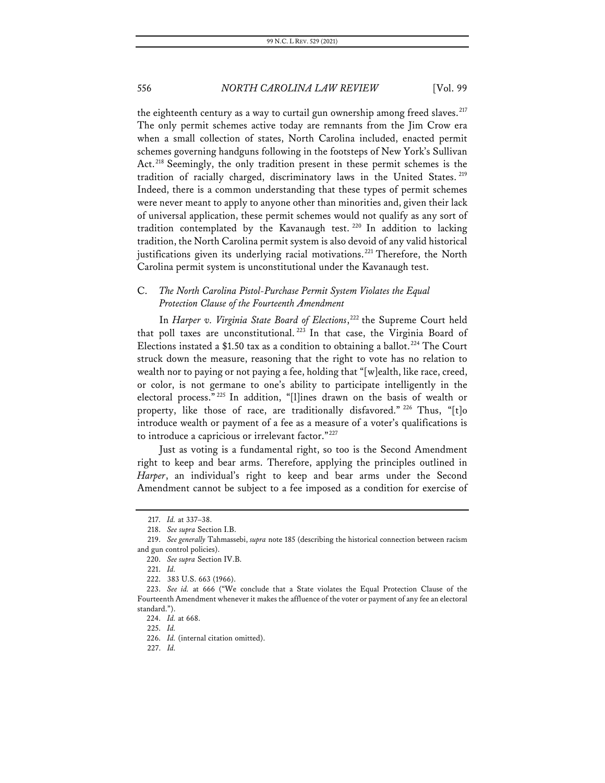the eighteenth century as a way to curtail gun ownership among freed slaves.<sup>[217](#page-28-0)</sup> The only permit schemes active today are remnants from the Jim Crow era when a small collection of states, North Carolina included, enacted permit schemes governing handguns following in the footsteps of New York's Sullivan Act.<sup>[218](#page-28-1)</sup> Seemingly, the only tradition present in these permit schemes is the tradition of racially charged, discriminatory laws in the United States. [219](#page-28-2) Indeed, there is a common understanding that these types of permit schemes were never meant to apply to anyone other than minorities and, given their lack of universal application, these permit schemes would not qualify as any sort of tradition contemplated by the Kavanaugh test.<sup>[220](#page-28-3)</sup> In addition to lacking tradition, the North Carolina permit system is also devoid of any valid historical justifications given its underlying racial motivations.<sup>[221](#page-28-4)</sup> Therefore, the North Carolina permit system is unconstitutional under the Kavanaugh test.

## C. *The North Carolina Pistol-Purchase Permit System Violates the Equal Protection Clause of the Fourteenth Amendment*

In *Harper v. Virginia State Board of Elections*, [222](#page-28-5) the Supreme Court held that poll taxes are unconstitutional.<sup>[223](#page-28-6)</sup> In that case, the Virginia Board of Elections instated a \$1.50 tax as a condition to obtaining a ballot.<sup>[224](#page-28-7)</sup> The Court struck down the measure, reasoning that the right to vote has no relation to wealth nor to paying or not paying a fee, holding that "[w]ealth, like race, creed, or color, is not germane to one's ability to participate intelligently in the electoral process." [225](#page-28-8) In addition, "[l]ines drawn on the basis of wealth or property, like those of race, are traditionally disfavored."<sup>[226](#page-28-9)</sup> Thus, "[t]o introduce wealth or payment of a fee as a measure of a voter's qualifications is to introduce a capricious or irrelevant factor."[227](#page-28-10)

Just as voting is a fundamental right, so too is the Second Amendment right to keep and bear arms. Therefore, applying the principles outlined in *Harper*, an individual's right to keep and bear arms under the Second Amendment cannot be subject to a fee imposed as a condition for exercise of

<sup>217.</sup> *Id.* at 337–38.

<sup>218.</sup> *See supra* Section I.B.

<span id="page-28-3"></span><span id="page-28-2"></span><span id="page-28-1"></span><span id="page-28-0"></span><sup>219.</sup> *See generally* Tahmassebi, *supra* note 185 (describing the historical connection between racism and gun control policies).

<sup>220.</sup> *See supra* Section IV.B.

<sup>221.</sup> *Id.*

<sup>222.</sup> 383 U.S. 663 (1966).

<span id="page-28-9"></span><span id="page-28-8"></span><span id="page-28-7"></span><span id="page-28-6"></span><span id="page-28-5"></span><span id="page-28-4"></span><sup>223.</sup> *See id.* at 666 ("We conclude that a State violates the Equal Protection Clause of the Fourteenth Amendment whenever it makes the affluence of the voter or payment of any fee an electoral standard.").

<sup>224.</sup> *Id.* at 668.

<sup>225.</sup> *Id.*

<span id="page-28-10"></span><sup>226.</sup> *Id.* (internal citation omitted).

<sup>227.</sup> *Id.*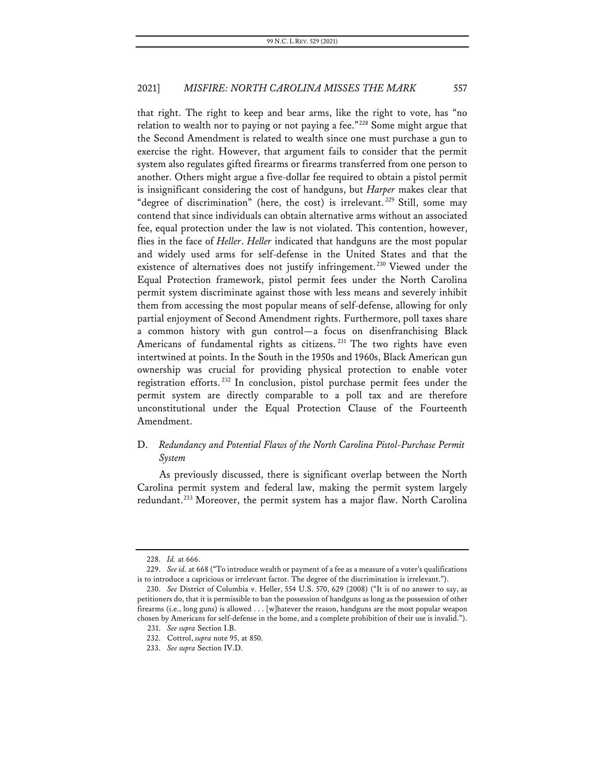that right. The right to keep and bear arms, like the right to vote, has "no relation to wealth nor to paying or not paying a fee."<sup>[228](#page-29-0)</sup> Some might argue that the Second Amendment is related to wealth since one must purchase a gun to exercise the right. However, that argument fails to consider that the permit system also regulates gifted firearms or firearms transferred from one person to another. Others might argue a five-dollar fee required to obtain a pistol permit is insignificant considering the cost of handguns, but *Harper* makes clear that "degree of discrimination" (here, the cost) is irrelevant.<sup>[229](#page-29-1)</sup> Still, some may contend that since individuals can obtain alternative arms without an associated fee, equal protection under the law is not violated. This contention, however, flies in the face of *Heller*. *Heller* indicated that handguns are the most popular and widely used arms for self-defense in the United States and that the existence of alternatives does not justify infringement.<sup>[230](#page-29-2)</sup> Viewed under the Equal Protection framework, pistol permit fees under the North Carolina permit system discriminate against those with less means and severely inhibit them from accessing the most popular means of self-defense, allowing for only partial enjoyment of Second Amendment rights. Furthermore, poll taxes share a common history with gun control—a focus on disenfranchising Black Americans of fundamental rights as citizens.<sup>[231](#page-29-3)</sup> The two rights have even intertwined at points. In the South in the 1950s and 1960s, Black American gun ownership was crucial for providing physical protection to enable voter registration efforts. [232](#page-29-4) In conclusion, pistol purchase permit fees under the permit system are directly comparable to a poll tax and are therefore unconstitutional under the Equal Protection Clause of the Fourteenth Amendment.

## D. *Redundancy and Potential Flaws of the North Carolina Pistol-Purchase Permit System*

As previously discussed, there is significant overlap between the North Carolina permit system and federal law, making the permit system largely redundant.<sup>[233](#page-29-5)</sup> Moreover, the permit system has a major flaw. North Carolina

<sup>228.</sup> *Id.* at 666.

<span id="page-29-1"></span><span id="page-29-0"></span><sup>229.</sup> *See id.* at 668 ("To introduce wealth or payment of a fee as a measure of a voter's qualifications is to introduce a capricious or irrelevant factor. The degree of the discrimination is irrelevant.").

<span id="page-29-3"></span><span id="page-29-2"></span><sup>230.</sup> *See* District of Columbia v. Heller, 554 U.S. 570, 629 (2008) ("It is of no answer to say, as petitioners do, that it is permissible to ban the possession of handguns as long as the possession of other firearms (i.e., long guns) is allowed . . . [w]hatever the reason, handguns are the most popular weapon chosen by Americans for self-defense in the home, and a complete prohibition of their use is invalid.").

<sup>231.</sup> *See supra* Section I.B.

<span id="page-29-4"></span><sup>232.</sup> Cottrol, *supra* note 95, at 850.

<span id="page-29-5"></span><sup>233.</sup> *See supra* Section IV.D.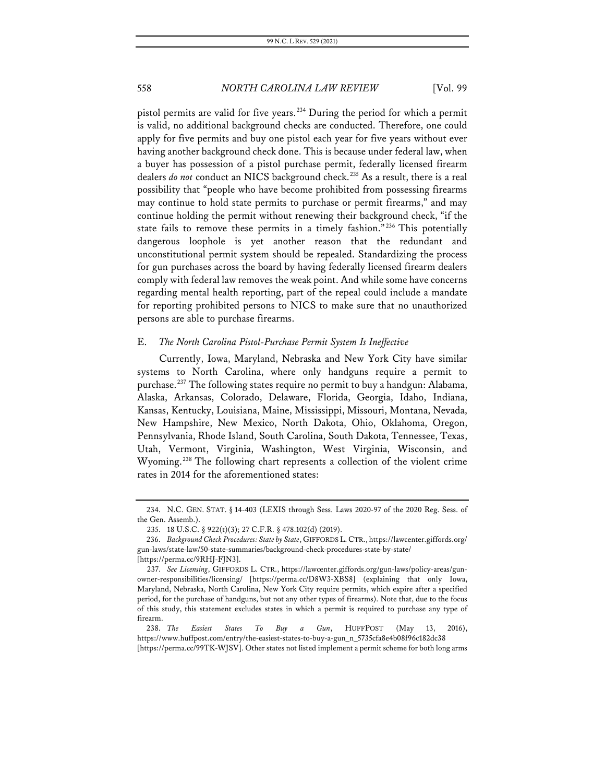pistol permits are valid for five years.<sup>[234](#page-30-0)</sup> During the period for which a permit is valid, no additional background checks are conducted. Therefore, one could apply for five permits and buy one pistol each year for five years without ever having another background check done. This is because under federal law, when a buyer has possession of a pistol purchase permit, federally licensed firearm dealers *do not* conduct an NICS background check.<sup>[235](#page-30-1)</sup> As a result, there is a real possibility that "people who have become prohibited from possessing firearms may continue to hold state permits to purchase or permit firearms," and may continue holding the permit without renewing their background check, "if the state fails to remove these permits in a timely fashion."<sup>[236](#page-30-2)</sup> This potentially dangerous loophole is yet another reason that the redundant and unconstitutional permit system should be repealed. Standardizing the process for gun purchases across the board by having federally licensed firearm dealers comply with federal law removes the weak point. And while some have concerns regarding mental health reporting, part of the repeal could include a mandate for reporting prohibited persons to NICS to make sure that no unauthorized persons are able to purchase firearms.

#### E. *The North Carolina Pistol-Purchase Permit System Is Ineffective*

Currently, Iowa, Maryland, Nebraska and New York City have similar systems to North Carolina, where only handguns require a permit to purchase.<sup>[237](#page-30-3)</sup> The following states require no permit to buy a handgun: Alabama, Alaska, Arkansas, Colorado, Delaware, Florida, Georgia, Idaho, Indiana, Kansas, Kentucky, Louisiana, Maine, Mississippi, Missouri, Montana, Nevada, New Hampshire, New Mexico, North Dakota, Ohio, Oklahoma, Oregon, Pennsylvania, Rhode Island, South Carolina, South Dakota, Tennessee, Texas, Utah, Vermont, Virginia, Washington, West Virginia, Wisconsin, and Wyoming.<sup>[238](#page-30-4)</sup> The following chart represents a collection of the violent crime rates in 2014 for the aforementioned states:

<span id="page-30-0"></span><sup>234.</sup> N.C. GEN. STAT. § 14-403 (LEXIS through Sess. Laws 2020-97 of the 2020 Reg. Sess. of the Gen. Assemb.).

<sup>235.</sup> 18 U.S.C. § 922(t)(3); 27 C.F.R. § 478.102(d) (2019).

<span id="page-30-2"></span><span id="page-30-1"></span><sup>236.</sup> *Background Check Procedures: State by State*, GIFFORDS L.CTR., https://lawcenter.giffords.org/ gun-laws/state-law/50-state-summaries/background-check-procedures-state-by-state/

<sup>[</sup>https://perma.cc/9RHJ-FJN3].

<span id="page-30-3"></span><sup>237.</sup> *See Licensing*, GIFFORDS L. CTR., https://lawcenter.giffords.org/gun-laws/policy-areas/gunowner-responsibilities/licensing/ [https://perma.cc/D8W3-XBS8] (explaining that only Iowa, Maryland, Nebraska, North Carolina, New York City require permits, which expire after a specified period, for the purchase of handguns, but not any other types of firearms). Note that, due to the focus of this study, this statement excludes states in which a permit is required to purchase any type of firearm.

<span id="page-30-4"></span><sup>238.</sup> *The Easiest States To Buy a Gun*, HUFFPOST (May 13, 2016), https://www.huffpost.com/entry/the-easiest-states-to-buy-a-gun\_n\_5735cfa8e4b08f96c182dc38 [https://perma.cc/99TK-WJSV]. Other states not listed implement a permit scheme for both long arms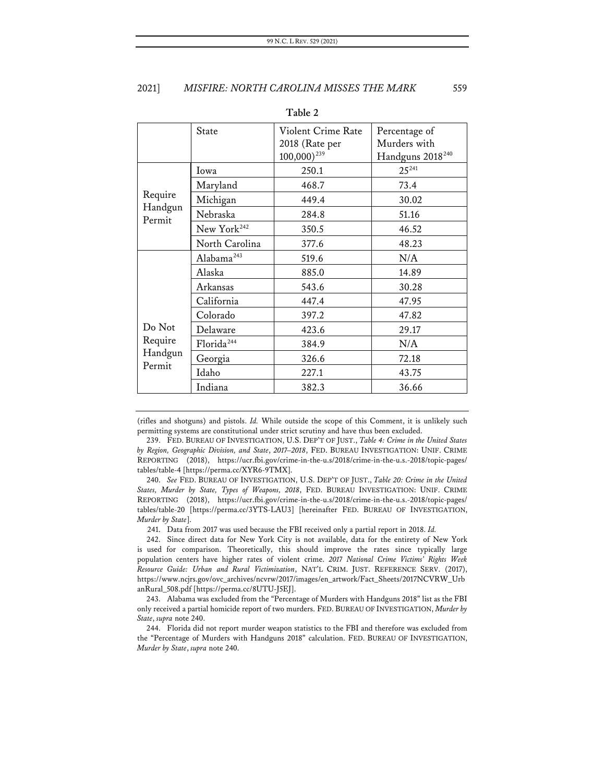|                                        | State                   | Violent Crime Rate<br>2018 (Rate per<br>$100,000$ ) <sup>239</sup> | Percentage of<br>Murders with<br>Handguns 2018 <sup>240</sup> |
|----------------------------------------|-------------------------|--------------------------------------------------------------------|---------------------------------------------------------------|
| Require<br>Handgun<br>Permit           | Iowa                    | 250.1                                                              | $25^{241}$                                                    |
|                                        | Maryland                | 468.7                                                              | 73.4                                                          |
|                                        | Michigan                | 449.4                                                              | 30.02                                                         |
|                                        | Nebraska                | 284.8                                                              | 51.16                                                         |
|                                        | New York <sup>242</sup> | 350.5                                                              | 46.52                                                         |
|                                        | North Carolina          | 377.6                                                              | 48.23                                                         |
|                                        | Alabama <sup>243</sup>  | 519.6                                                              | N/A                                                           |
|                                        | Alaska                  | 885.0                                                              | 14.89                                                         |
|                                        | Arkansas                | 543.6                                                              | 30.28                                                         |
|                                        | California              | 447.4                                                              | 47.95                                                         |
|                                        | Colorado                | 397.2                                                              | 47.82                                                         |
| Do Not<br>Require<br>Handgun<br>Permit | Delaware                | 423.6                                                              | 29.17                                                         |
|                                        | Florida <sup>244</sup>  | 384.9                                                              | N/A                                                           |
|                                        | Georgia                 | 326.6                                                              | 72.18                                                         |
|                                        | Idaho                   | 227.1                                                              | 43.75                                                         |
|                                        | Indiana                 | 382.3                                                              | 36.66                                                         |

#### **Table 2**

(rifles and shotguns) and pistols. *Id.* While outside the scope of this Comment, it is unlikely such permitting systems are constitutional under strict scrutiny and have thus been excluded.

<span id="page-31-0"></span>239. FED. BUREAU OF INVESTIGATION, U.S. DEP'T OF JUST., *Table 4: Crime in the United States by Region, Geographic Division, and State*, *2017–2018*, FED. BUREAU INVESTIGATION: UNIF. CRIME REPORTING (2018), https://ucr.fbi.gov/crime-in-the-u.s/2018/crime-in-the-u.s.-2018/topic-pages/ tables/table-4 [https://perma.cc/XYR6-9TMX].

<span id="page-31-1"></span>240. *See* FED. BUREAU OF INVESTIGATION, U.S. DEP'T OF JUST., *Table 20: Crime in the United States, Murder by State, Types of Weapons, 2018*, FED. BUREAU INVESTIGATION: UNIF. CRIME REPORTING (2018), https://ucr.fbi.gov/crime-in-the-u.s/2018/crime-in-the-u.s.-2018/topic-pages/ tables/table-20 [https://perma.cc/3YTS-LAU3] [hereinafter FED. BUREAU OF INVESTIGATION, *Murder by State*].

241. Data from 2017 was used because the FBI received only a partial report in 2018. *Id.*

<span id="page-31-3"></span><span id="page-31-2"></span>242. Since direct data for New York City is not available, data for the entirety of New York is used for comparison. Theoretically, this should improve the rates since typically large population centers have higher rates of violent crime. *2017 National Crime Victims' Rights Week Resource Guide: Urban and Rural Victimization*, NAT'L CRIM. JUST. REFERENCE SERV. (2017), https://www.ncjrs.gov/ovc\_archives/ncvrw/2017/images/en\_artwork/Fact\_Sheets/2017NCVRW\_Urb anRural\_508.pdf [https://perma.cc/8UTU-J5EJ].

<span id="page-31-4"></span>243. Alabama was excluded from the "Percentage of Murders with Handguns 2018" list as the FBI only received a partial homicide report of two murders. FED. BUREAU OF INVESTIGATION, *Murder by State*, *supra* note 240.

<span id="page-31-5"></span>244. Florida did not report murder weapon statistics to the FBI and therefore was excluded from the "Percentage of Murders with Handguns 2018" calculation. FED. BUREAU OF INVESTIGATION, *Murder by State*, *supra* note 240.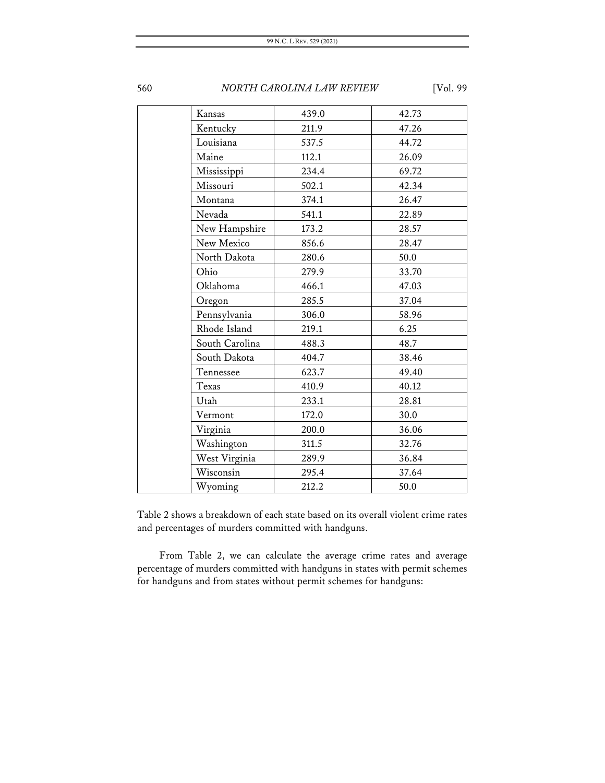| 439.0 | 42.73 |
|-------|-------|
| 211.9 | 47.26 |
| 537.5 | 44.72 |
| 112.1 | 26.09 |
| 234.4 | 69.72 |
| 502.1 | 42.34 |
| 374.1 | 26.47 |
| 541.1 | 22.89 |
| 173.2 | 28.57 |
| 856.6 | 28.47 |
| 280.6 | 50.0  |
| 279.9 | 33.70 |
| 466.1 | 47.03 |
| 285.5 | 37.04 |
| 306.0 | 58.96 |
| 219.1 | 6.25  |
| 488.3 | 48.7  |
| 404.7 | 38.46 |
| 623.7 | 49.40 |
| 410.9 | 40.12 |
| 233.1 | 28.81 |
| 172.0 | 30.0  |
| 200.0 | 36.06 |
| 311.5 | 32.76 |
| 289.9 | 36.84 |
| 295.4 | 37.64 |
| 212.2 | 50.0  |
|       |       |

Table 2 shows a breakdown of each state based on its overall violent crime rates and percentages of murders committed with handguns.

From Table 2, we can calculate the average crime rates and average percentage of murders committed with handguns in states with permit schemes for handguns and from states without permit schemes for handguns: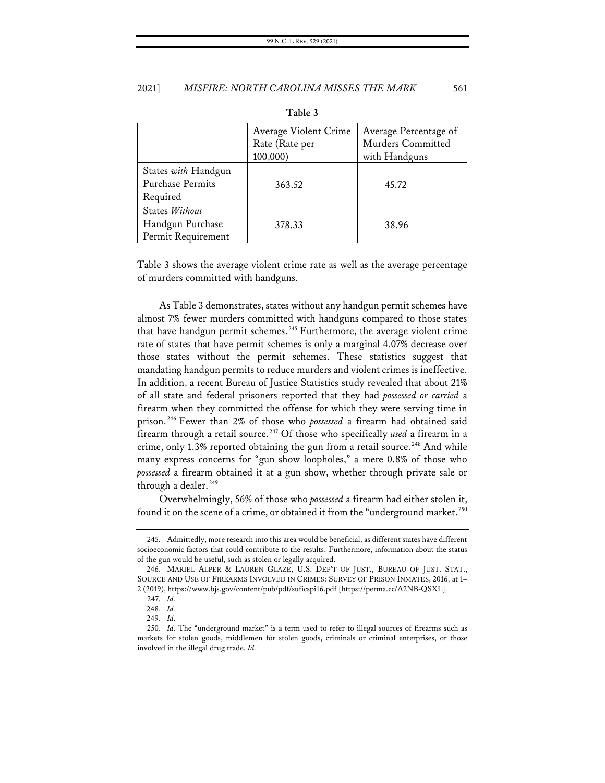|                                                            | Average Violent Crime<br>Rate (Rate per<br>100,000) | Average Percentage of<br>Murders Committed<br>with Handguns |
|------------------------------------------------------------|-----------------------------------------------------|-------------------------------------------------------------|
| States with Handgun<br><b>Purchase Permits</b><br>Required | 363.52                                              | 45.72                                                       |
| States Without<br>Handgun Purchase<br>Permit Requirement   | 378.33                                              | 38.96                                                       |

#### **Table 3**

Table 3 shows the average violent crime rate as well as the average percentage of murders committed with handguns.

As Table 3 demonstrates, states without any handgun permit schemes have almost 7% fewer murders committed with handguns compared to those states that have handgun permit schemes. [245](#page-33-0) Furthermore, the average violent crime rate of states that have permit schemes is only a marginal 4.07% decrease over those states without the permit schemes. These statistics suggest that mandating handgun permits to reduce murders and violent crimes is ineffective. In addition, a recent Bureau of Justice Statistics study revealed that about 21% of all state and federal prisoners reported that they had *possessed or carried* a firearm when they committed the offense for which they were serving time in prison.[246](#page-33-1) Fewer than 2% of those who *possessed* a firearm had obtained said firearm through a retail source.<sup>[247](#page-33-2)</sup> Of those who specifically *used* a firearm in a crime, only 1.3% reported obtaining the gun from a retail source.<sup>[248](#page-33-3)</sup> And while many express concerns for "gun show loopholes," a mere 0.8% of those who *possessed* a firearm obtained it at a gun show, whether through private sale or through a dealer. [249](#page-33-4)

Overwhelmingly, 56% of those who *possessed* a firearm had either stolen it, found it on the scene of a crime, or obtained it from the "underground market.<sup>[250](#page-33-5)</sup>

<span id="page-33-0"></span><sup>245.</sup> Admittedly, more research into this area would be beneficial, as different states have different socioeconomic factors that could contribute to the results. Furthermore, information about the status of the gun would be useful, such as stolen or legally acquired.

<span id="page-33-2"></span><span id="page-33-1"></span><sup>246.</sup> MARIEL ALPER & LAUREN GLAZE, U.S. DEP'T OF JUST., BUREAU OF JUST. STAT., SOURCE AND USE OF FIREARMS INVOLVED IN CRIMES: SURVEY OF PRISON INMATES, 2016, at 1– 2 (2019), https://www.bjs.gov/content/pub/pdf/suficspi16.pdf [https://perma.cc/A2NB-QSXL].

<sup>247.</sup> *Id.*

<sup>248.</sup> *Id.*

<sup>249.</sup> *Id.*

<span id="page-33-5"></span><span id="page-33-4"></span><span id="page-33-3"></span><sup>250.</sup> *Id.* The "underground market" is a term used to refer to illegal sources of firearms such as markets for stolen goods, middlemen for stolen goods, criminals or criminal enterprises, or those involved in the illegal drug trade. *Id.*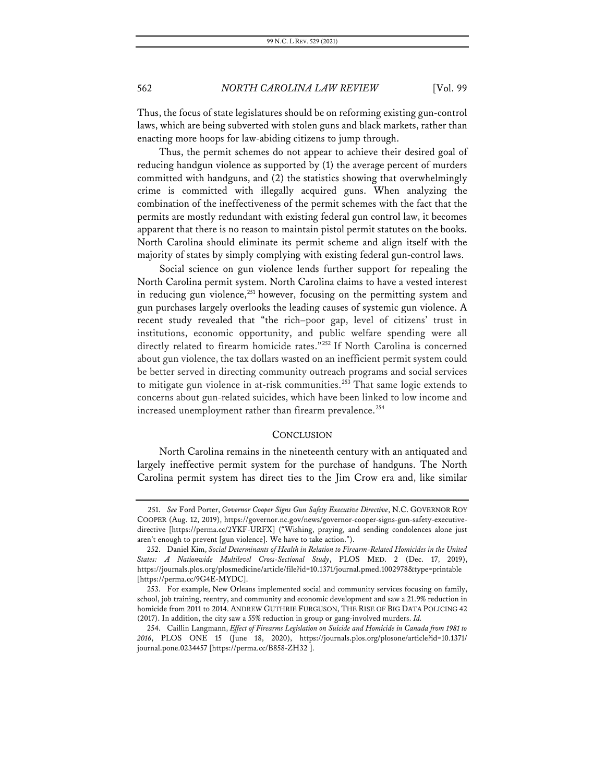Thus, the focus of state legislatures should be on reforming existing gun-control laws, which are being subverted with stolen guns and black markets, rather than enacting more hoops for law-abiding citizens to jump through.

Thus, the permit schemes do not appear to achieve their desired goal of reducing handgun violence as supported by (1) the average percent of murders committed with handguns, and (2) the statistics showing that overwhelmingly crime is committed with illegally acquired guns. When analyzing the combination of the ineffectiveness of the permit schemes with the fact that the permits are mostly redundant with existing federal gun control law, it becomes apparent that there is no reason to maintain pistol permit statutes on the books. North Carolina should eliminate its permit scheme and align itself with the majority of states by simply complying with existing federal gun-control laws.

Social science on gun violence lends further support for repealing the North Carolina permit system. North Carolina claims to have a vested interest in reducing gun violence,<sup>[251](#page-34-0)</sup> however, focusing on the permitting system and gun purchases largely overlooks the leading causes of systemic gun violence. A recent study revealed that "the rich–poor gap, level of citizens' trust in institutions, economic opportunity, and public welfare spending were all directly related to firearm homicide rates."[252](#page-34-1) If North Carolina is concerned about gun violence, the tax dollars wasted on an inefficient permit system could be better served in directing community outreach programs and social services to mitigate gun violence in at-risk communities.<sup>[253](#page-34-2)</sup> That same logic extends to concerns about gun-related suicides, which have been linked to low income and increased unemployment rather than firearm prevalence.<sup>[254](#page-34-3)</sup>

#### **CONCLUSION**

North Carolina remains in the nineteenth century with an antiquated and largely ineffective permit system for the purchase of handguns. The North Carolina permit system has direct ties to the Jim Crow era and, like similar

<span id="page-34-0"></span><sup>251.</sup> *See* Ford Porter, *Governor Cooper Signs Gun Safety Executive Directive*, N.C. GOVERNOR ROY COOPER (Aug. 12, 2019), https://governor.nc.gov/news/governor-cooper-signs-gun-safety-executivedirective [https://perma.cc/2YKF-URFX] ("Wishing, praying, and sending condolences alone just aren't enough to prevent [gun violence]. We have to take action.").

<span id="page-34-1"></span><sup>252.</sup> Daniel Kim, *Social Determinants of Health in Relation to Firearm-Related Homicides in the United States: A Nationwide Multilevel Cross-Sectional Study*, PLOS MED. 2 (Dec. 17, 2019), https://journals.plos.org/plosmedicine/article/file?id=10.1371/journal.pmed.1002978&type=printable [https://perma.cc/9G4E-MYDC].

<span id="page-34-2"></span><sup>253.</sup> For example, New Orleans implemented social and community services focusing on family, school, job training, reentry, and community and economic development and saw a 21.9% reduction in homicide from 2011 to 2014. ANDREW GUTHRIE FURGUSON, THE RISE OF BIG DATA POLICING 42 (2017). In addition, the city saw a 55% reduction in group or gang-involved murders. *Id.*

<span id="page-34-3"></span><sup>254.</sup> Caillin Langmann, *Effect of Firearms Legislation on Suicide and Homicide in Canada from 1981 to 2016*, PLOS ONE 15 (June 18, 2020), https://journals.plos.org/plosone/article?id=10.1371/ journal.pone.0234457 [https://perma.cc/B858-ZH32 ].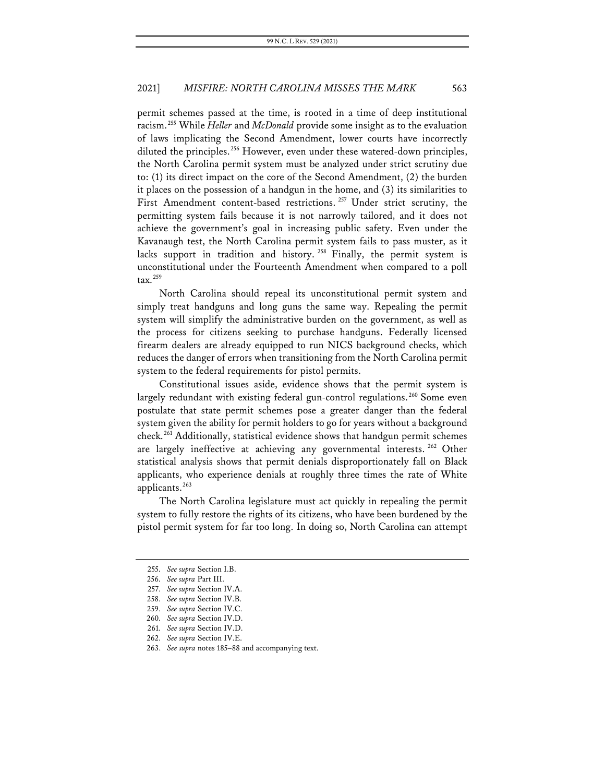permit schemes passed at the time, is rooted in a time of deep institutional racism.[255](#page-35-0) While *Heller* and *McDonald* provide some insight as to the evaluation of laws implicating the Second Amendment, lower courts have incorrectly diluted the principles.<sup>[256](#page-35-1)</sup> However, even under these watered-down principles, the North Carolina permit system must be analyzed under strict scrutiny due to: (1) its direct impact on the core of the Second Amendment, (2) the burden it places on the possession of a handgun in the home, and (3) its similarities to First Amendment content-based restrictions.<sup>[257](#page-35-2)</sup> Under strict scrutiny, the permitting system fails because it is not narrowly tailored, and it does not achieve the government's goal in increasing public safety. Even under the Kavanaugh test, the North Carolina permit system fails to pass muster, as it lacks support in tradition and history.<sup>[258](#page-35-3)</sup> Finally, the permit system is unconstitutional under the Fourteenth Amendment when compared to a poll tax.[259](#page-35-4)

North Carolina should repeal its unconstitutional permit system and simply treat handguns and long guns the same way. Repealing the permit system will simplify the administrative burden on the government, as well as the process for citizens seeking to purchase handguns. Federally licensed firearm dealers are already equipped to run NICS background checks, which reduces the danger of errors when transitioning from the North Carolina permit system to the federal requirements for pistol permits.

Constitutional issues aside, evidence shows that the permit system is largely redundant with existing federal gun-control regulations.<sup>[260](#page-35-5)</sup> Some even postulate that state permit schemes pose a greater danger than the federal system given the ability for permit holders to go for years without a background check.[261](#page-35-6) Additionally, statistical evidence shows that handgun permit schemes are largely ineffective at achieving any governmental interests.<sup>[262](#page-35-7)</sup> Other statistical analysis shows that permit denials disproportionately fall on Black applicants, who experience denials at roughly three times the rate of White applicants. $^{263}$  $^{263}$  $^{263}$ 

The North Carolina legislature must act quickly in repealing the permit system to fully restore the rights of its citizens, who have been burdened by the pistol permit system for far too long. In doing so, North Carolina can attempt

<sup>255.</sup> *See supra* Section I.B.

<sup>256.</sup> *See supra* Part III.

<span id="page-35-2"></span><span id="page-35-1"></span><span id="page-35-0"></span><sup>257.</sup> *See supra* Section IV.A.

<span id="page-35-3"></span><sup>258.</sup> *See supra* Section IV.B.

<span id="page-35-5"></span><span id="page-35-4"></span><sup>259.</sup> *See supra* Section IV.C.

<sup>260.</sup> *See supra* Section IV.D.

<sup>261.</sup> *See supra* Section IV.D.

<span id="page-35-7"></span><span id="page-35-6"></span><sup>262.</sup> *See supra* Section IV.E.

<span id="page-35-8"></span><sup>263.</sup> *See supra* notes 185–88 and accompanying text.